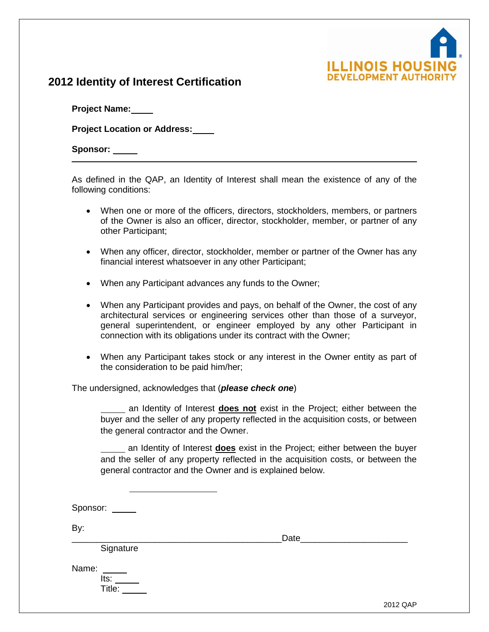

# **2012 Identity of Interest Certification**

**Project Name:**

**Project Location or Address:**

Sponsor: \_\_\_\_\_

As defined in the QAP, an Identity of Interest shall mean the existence of any of the following conditions:

- When one or more of the officers, directors, stockholders, members, or partners of the Owner is also an officer, director, stockholder, member, or partner of any other Participant;
- When any officer, director, stockholder, member or partner of the Owner has any financial interest whatsoever in any other Participant;
- When any Participant advances any funds to the Owner;
- When any Participant provides and pays, on behalf of the Owner, the cost of any architectural services or engineering services other than those of a surveyor, general superintendent, or engineer employed by any other Participant in connection with its obligations under its contract with the Owner;
- When any Participant takes stock or any interest in the Owner entity as part of the consideration to be paid him/her;

## The undersigned, acknowledges that (*please check one*)

an Identity of Interest **does not** exist in the Project; either between the buyer and the seller of any property reflected in the acquisition costs, or between the general contractor and the Owner.

an Identity of Interest **does** exist in the Project; either between the buyer and the seller of any property reflected in the acquisition costs, or between the general contractor and the Owner and is explained below.

Sponsor: \_\_\_\_\_

By:

**Signature** 

\_\_\_\_\_\_\_\_\_\_\_\_\_\_\_\_\_\_\_\_\_\_\_\_\_\_\_\_\_\_\_\_\_\_\_\_\_\_\_\_\_\_\_Date\_\_\_\_\_\_\_\_\_\_\_\_\_\_\_\_\_\_\_\_\_\_

Name:

Its: Title:

2012 QAP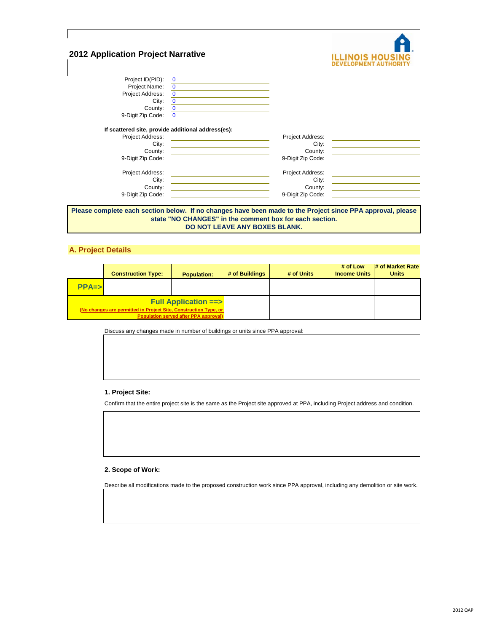| <b>2012 Application Project Narrative</b> |                                                    |                   | <b>ILLINOIS HOUS</b> |
|-------------------------------------------|----------------------------------------------------|-------------------|----------------------|
| Project ID(PID):                          | $\mathbf 0$                                        |                   |                      |
| Project Name:                             | $\mathbf 0$                                        |                   |                      |
| Project Address:                          | $\bf{0}$                                           |                   |                      |
| City:                                     | $\bf{0}$                                           |                   |                      |
| County:                                   | $\overline{0}$                                     |                   |                      |
| 9-Digit Zip Code:                         | $\Omega$                                           |                   |                      |
|                                           | If scattered site, provide additional address(es): |                   |                      |
| Project Address:                          |                                                    | Project Address:  |                      |
| City:                                     |                                                    | City:             |                      |
| County:                                   |                                                    | County:           |                      |
| 9-Digit Zip Code:                         |                                                    | 9-Digit Zip Code: |                      |
| Project Address:                          |                                                    | Project Address:  |                      |
| City:                                     |                                                    | City:             |                      |
| County:                                   |                                                    | County:           |                      |
| 9-Digit Zip Code:                         |                                                    | 9-Digit Zip Code: |                      |
|                                           |                                                    |                   |                      |

**Please complete each section below. If no changes have been made to the Project since PPA approval, please state "NO CHANGES" in the comment box for each section. DO NOT LEAVE ANY BOXES BLANK.**

## **A. Project Details**

|           | <b>Construction Type:</b>                                        | <b>Population:</b>                                                             | # of Buildings | # of Units | # of Low<br><b>Income Units</b> | # of Market Rate<br><b>Units</b> |
|-----------|------------------------------------------------------------------|--------------------------------------------------------------------------------|----------------|------------|---------------------------------|----------------------------------|
| $PPA = >$ |                                                                  |                                                                                |                |            |                                 |                                  |
|           | (No changes are permitted in Project Site, Construction Type, or | <b>Full Application ==&gt;</b><br><b>Population served after PPA approval)</b> |                |            |                                 |                                  |

Discuss any changes made in number of buildings or units since PPA approval:

## **1. Project Site:**

Confirm that the entire project site is the same as the Project site approved at PPA, including Project address and condition.

#### **2. Scope of Work:**

Describe all modifications made to the proposed construction work since PPA approval, including any demolition or site work.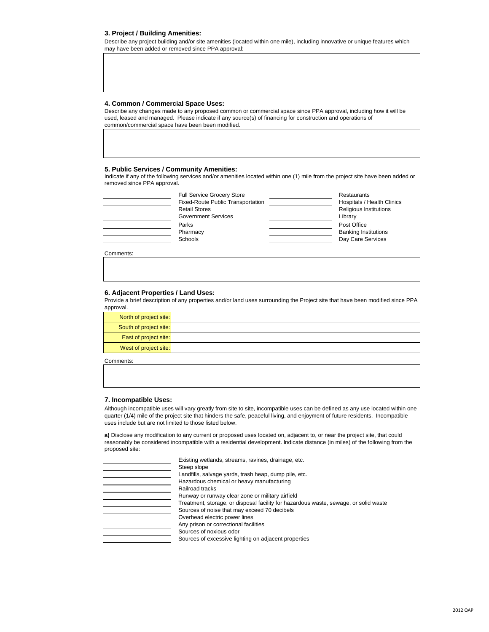#### **3. Project / Building Amenities:**

Describe any project building and/or site amenities (located within one mile), including innovative or unique features which may have been added or removed since PPA approval:

### **4. Common / Commercial Space Uses:**

Describe any changes made to any proposed common or commercial space since PPA approval, including how it will be used, leased and managed. Please indicate if any source(s) of financing for construction and operations of common/commercial space have been been modified.

#### **5. Public Services / Community Amenities:**

Indicate if any of the following services and/or amenities located within one (1) mile from the project site have been added or removed since PPA approval.

| <b>Full Service Grocery Store</b>        | Restaurants                 |
|------------------------------------------|-----------------------------|
| <b>Fixed-Route Public Transportation</b> | Hospitals / Health Clinics  |
| <b>Retail Stores</b>                     | Religious Institutions      |
| <b>Government Services</b>               | Library                     |
| Parks                                    | Post Office                 |
| Pharmacy                                 | <b>Banking Institutions</b> |
| Schools                                  | Day Care Services           |
|                                          |                             |

Comments:

#### **6. Adjacent Properties / Land Uses:**

Provide a brief description of any properties and/or land uses surrounding the Project site that have been modified since PPA approval.

| North of project site: |  |
|------------------------|--|
| South of project site: |  |
| East of project site:  |  |
| West of project site:  |  |
| Comments:              |  |

### **7. Incompatible Uses:**

Although incompatible uses will vary greatly from site to site, incompatible uses can be defined as any use located within one quarter (1/4) mile of the project site that hinders the safe, peaceful living, and enjoyment of future residents. Incompatible uses include but are not limited to those listed below.

**a)** Disclose any modification to any current or proposed uses located on, adjacent to, or near the project site, that could reasonably be considered incompatible with a residential development. Indicate distance (in miles) of the following from the proposed site:

| Existing wetlands, streams, ravines, drainage, etc.                                  |
|--------------------------------------------------------------------------------------|
| Steep slope                                                                          |
| Landfills, salvage yards, trash heap, dump pile, etc.                                |
| Hazardous chemical or heavy manufacturing                                            |
| Railroad tracks                                                                      |
| Runway or runway clear zone or military airfield                                     |
| Treatment, storage, or disposal facility for hazardous waste, sewage, or solid waste |
| Sources of noise that may exceed 70 decibels                                         |
| Overhead electric power lines                                                        |
| Any prison or correctional facilities                                                |
| Sources of noxious odor                                                              |
| Sources of excessive lighting on adjacent properties                                 |
|                                                                                      |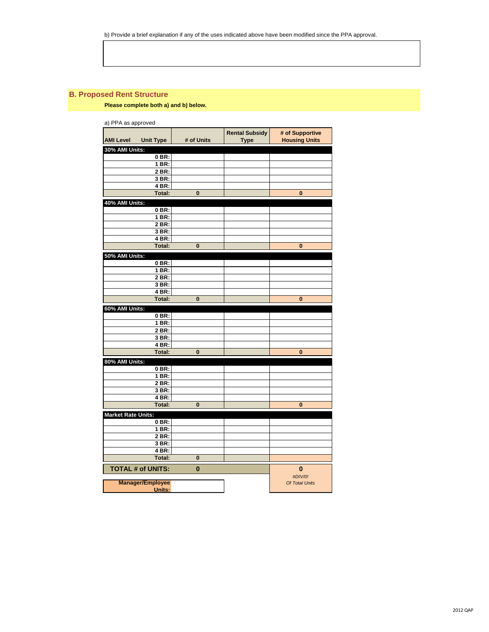## **B. Proposed Rent Structure**

**Please complete both a) and b) below.** 

| a) PPA as approved        |                          |            |                                      |                                         |
|---------------------------|--------------------------|------------|--------------------------------------|-----------------------------------------|
| <b>AMI Level</b>          | <b>Unit Type</b>         | # of Units | <b>Rental Subsidy</b><br><b>Type</b> | # of Supportive<br><b>Housing Units</b> |
| 30% AMI Units:            |                          |            |                                      |                                         |
|                           | 0 BR:                    |            |                                      |                                         |
|                           | 1 BR:                    |            |                                      |                                         |
|                           | 2 BR:                    |            |                                      |                                         |
|                           | 3 BR:                    |            |                                      |                                         |
|                           | 4 BR:                    |            |                                      |                                         |
|                           | <b>Total:</b>            | $\bf{0}$   |                                      | $\bf{0}$                                |
| 40% AMI Units:            |                          |            |                                      |                                         |
|                           | 0 BR:                    |            |                                      |                                         |
|                           | 1 BR:                    |            |                                      |                                         |
|                           | 2 BR:                    |            |                                      |                                         |
|                           | 3 BR:                    |            |                                      |                                         |
|                           | 4 BR:                    |            |                                      |                                         |
|                           | Total:                   | $\bf{0}$   |                                      | $\bf{0}$                                |
| 50% AMI Units:            |                          |            |                                      |                                         |
|                           | 0 BR:                    |            |                                      |                                         |
|                           | 1 BR:                    |            |                                      |                                         |
|                           | 2 BR:                    |            |                                      |                                         |
|                           | 3 BR:                    |            |                                      |                                         |
|                           | 4 BR:                    |            |                                      |                                         |
|                           | <b>Total:</b>            | $\bf{0}$   |                                      | $\bf{0}$                                |
| 60% AMI Units:            |                          |            |                                      |                                         |
|                           | 0 BR:                    |            |                                      |                                         |
|                           | $1$ BR:                  |            |                                      |                                         |
|                           | 2 BR:                    |            |                                      |                                         |
|                           | 3 BR:                    |            |                                      |                                         |
|                           | 4 BR:                    |            |                                      |                                         |
|                           | Total:                   | 0          |                                      | $\bf{0}$                                |
| 80% AMI Units:            |                          |            |                                      |                                         |
|                           | $0$ BR:                  |            |                                      |                                         |
|                           | 1 BR:                    |            |                                      |                                         |
|                           | 2 BR:                    |            |                                      |                                         |
|                           | 3 BR:                    |            |                                      |                                         |
|                           | 4 BR:                    |            |                                      |                                         |
|                           | <b>Total:</b>            | $\bf{0}$   |                                      | $\bf{0}$                                |
| <b>Market Rate Units:</b> |                          |            |                                      |                                         |
|                           | $0$ BR:                  |            |                                      |                                         |
|                           | 1 BR:                    |            |                                      |                                         |
|                           | 2 BR:                    |            |                                      |                                         |
|                           | 3 BR:                    |            |                                      |                                         |
|                           | 4 BR:                    |            |                                      |                                         |
|                           | Total:                   | 0          |                                      |                                         |
|                           | <b>TOTAL # of UNITS:</b> | $\bf{0}$   |                                      | $\bf{0}$                                |
|                           |                          |            |                                      | #DIV/0!                                 |
|                           | <b>Manager/Employee</b>  |            |                                      | Of Total Units                          |
|                           | Units:                   |            |                                      |                                         |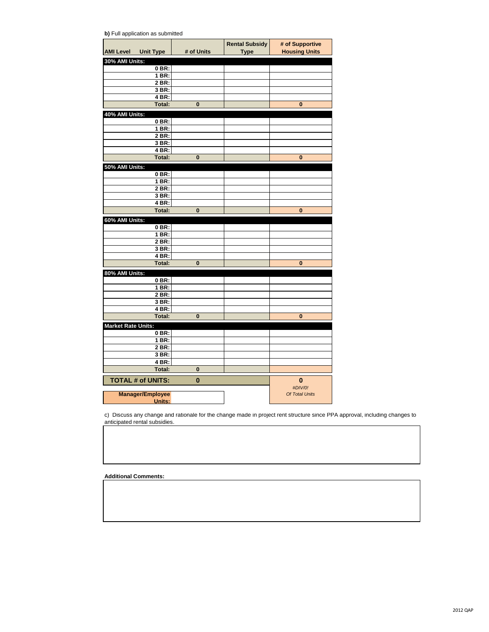| b) Full application as submitted |  |
|----------------------------------|--|
|----------------------------------|--|

| <b>AMI Level Unit Type</b><br>30% AMI Units:<br>$0$ BR:<br>1 BR:<br>2 BR:<br>3 BR:<br>4 BR:<br><b>Total:</b><br>0<br>0<br>40% AMI Units:<br>0 BR:<br>1 BR:<br>2 BR:<br>3 BR:<br>4 BR:<br><b>Total:</b><br>$\bf{0}$<br>$\bf{0}$<br>50% AMI Units:<br>0 BR:<br>1 BR:<br>2 BR:<br>3 BR:<br>4 BR:<br><b>Total:</b><br>$\bf{0}$<br>$\bf{0}$<br>60% AMI Units:<br>0 BR:<br>1 BR:<br>$2$ BR:<br>3 BR:<br>4 BR:<br><b>Total:</b><br>$\bf{0}$<br>$\bf{0}$<br>80% AMI Units:<br>0 BR:<br>$1$ BR:<br>2 BR:<br>3 BR:<br>4 BR:<br>Total:<br>0<br>0<br><b>Market Rate Units:</b><br>0 BR:<br>1 BR:<br>2 BR:<br>3 BR:<br>4 BR:<br><b>Total:</b><br>$\bf{0}$<br><b>TOTAL # of UNITS:</b><br>$\bf{0}$<br>$\bf{0}$<br>#DIV/0!<br><b>Manager/Employee</b><br>Of Total Units |        |            | <b>Rental Subsidy</b> | # of Supportive      |
|----------------------------------------------------------------------------------------------------------------------------------------------------------------------------------------------------------------------------------------------------------------------------------------------------------------------------------------------------------------------------------------------------------------------------------------------------------------------------------------------------------------------------------------------------------------------------------------------------------------------------------------------------------------------------------------------------------------------------------------------------------|--------|------------|-----------------------|----------------------|
|                                                                                                                                                                                                                                                                                                                                                                                                                                                                                                                                                                                                                                                                                                                                                          |        | # of Units | <b>Type</b>           | <b>Housing Units</b> |
|                                                                                                                                                                                                                                                                                                                                                                                                                                                                                                                                                                                                                                                                                                                                                          |        |            |                       |                      |
|                                                                                                                                                                                                                                                                                                                                                                                                                                                                                                                                                                                                                                                                                                                                                          |        |            |                       |                      |
|                                                                                                                                                                                                                                                                                                                                                                                                                                                                                                                                                                                                                                                                                                                                                          |        |            |                       |                      |
|                                                                                                                                                                                                                                                                                                                                                                                                                                                                                                                                                                                                                                                                                                                                                          |        |            |                       |                      |
|                                                                                                                                                                                                                                                                                                                                                                                                                                                                                                                                                                                                                                                                                                                                                          |        |            |                       |                      |
|                                                                                                                                                                                                                                                                                                                                                                                                                                                                                                                                                                                                                                                                                                                                                          |        |            |                       |                      |
|                                                                                                                                                                                                                                                                                                                                                                                                                                                                                                                                                                                                                                                                                                                                                          |        |            |                       |                      |
|                                                                                                                                                                                                                                                                                                                                                                                                                                                                                                                                                                                                                                                                                                                                                          |        |            |                       |                      |
|                                                                                                                                                                                                                                                                                                                                                                                                                                                                                                                                                                                                                                                                                                                                                          |        |            |                       |                      |
|                                                                                                                                                                                                                                                                                                                                                                                                                                                                                                                                                                                                                                                                                                                                                          |        |            |                       |                      |
|                                                                                                                                                                                                                                                                                                                                                                                                                                                                                                                                                                                                                                                                                                                                                          |        |            |                       |                      |
|                                                                                                                                                                                                                                                                                                                                                                                                                                                                                                                                                                                                                                                                                                                                                          |        |            |                       |                      |
|                                                                                                                                                                                                                                                                                                                                                                                                                                                                                                                                                                                                                                                                                                                                                          |        |            |                       |                      |
|                                                                                                                                                                                                                                                                                                                                                                                                                                                                                                                                                                                                                                                                                                                                                          |        |            |                       |                      |
|                                                                                                                                                                                                                                                                                                                                                                                                                                                                                                                                                                                                                                                                                                                                                          |        |            |                       |                      |
|                                                                                                                                                                                                                                                                                                                                                                                                                                                                                                                                                                                                                                                                                                                                                          |        |            |                       |                      |
|                                                                                                                                                                                                                                                                                                                                                                                                                                                                                                                                                                                                                                                                                                                                                          |        |            |                       |                      |
|                                                                                                                                                                                                                                                                                                                                                                                                                                                                                                                                                                                                                                                                                                                                                          |        |            |                       |                      |
|                                                                                                                                                                                                                                                                                                                                                                                                                                                                                                                                                                                                                                                                                                                                                          |        |            |                       |                      |
|                                                                                                                                                                                                                                                                                                                                                                                                                                                                                                                                                                                                                                                                                                                                                          |        |            |                       |                      |
|                                                                                                                                                                                                                                                                                                                                                                                                                                                                                                                                                                                                                                                                                                                                                          |        |            |                       |                      |
|                                                                                                                                                                                                                                                                                                                                                                                                                                                                                                                                                                                                                                                                                                                                                          |        |            |                       |                      |
|                                                                                                                                                                                                                                                                                                                                                                                                                                                                                                                                                                                                                                                                                                                                                          |        |            |                       |                      |
|                                                                                                                                                                                                                                                                                                                                                                                                                                                                                                                                                                                                                                                                                                                                                          |        |            |                       |                      |
|                                                                                                                                                                                                                                                                                                                                                                                                                                                                                                                                                                                                                                                                                                                                                          |        |            |                       |                      |
|                                                                                                                                                                                                                                                                                                                                                                                                                                                                                                                                                                                                                                                                                                                                                          |        |            |                       |                      |
|                                                                                                                                                                                                                                                                                                                                                                                                                                                                                                                                                                                                                                                                                                                                                          |        |            |                       |                      |
|                                                                                                                                                                                                                                                                                                                                                                                                                                                                                                                                                                                                                                                                                                                                                          |        |            |                       |                      |
|                                                                                                                                                                                                                                                                                                                                                                                                                                                                                                                                                                                                                                                                                                                                                          |        |            |                       |                      |
|                                                                                                                                                                                                                                                                                                                                                                                                                                                                                                                                                                                                                                                                                                                                                          |        |            |                       |                      |
|                                                                                                                                                                                                                                                                                                                                                                                                                                                                                                                                                                                                                                                                                                                                                          |        |            |                       |                      |
|                                                                                                                                                                                                                                                                                                                                                                                                                                                                                                                                                                                                                                                                                                                                                          |        |            |                       |                      |
|                                                                                                                                                                                                                                                                                                                                                                                                                                                                                                                                                                                                                                                                                                                                                          |        |            |                       |                      |
|                                                                                                                                                                                                                                                                                                                                                                                                                                                                                                                                                                                                                                                                                                                                                          |        |            |                       |                      |
|                                                                                                                                                                                                                                                                                                                                                                                                                                                                                                                                                                                                                                                                                                                                                          |        |            |                       |                      |
|                                                                                                                                                                                                                                                                                                                                                                                                                                                                                                                                                                                                                                                                                                                                                          |        |            |                       |                      |
|                                                                                                                                                                                                                                                                                                                                                                                                                                                                                                                                                                                                                                                                                                                                                          |        |            |                       |                      |
|                                                                                                                                                                                                                                                                                                                                                                                                                                                                                                                                                                                                                                                                                                                                                          |        |            |                       |                      |
|                                                                                                                                                                                                                                                                                                                                                                                                                                                                                                                                                                                                                                                                                                                                                          |        |            |                       |                      |
|                                                                                                                                                                                                                                                                                                                                                                                                                                                                                                                                                                                                                                                                                                                                                          |        |            |                       |                      |
|                                                                                                                                                                                                                                                                                                                                                                                                                                                                                                                                                                                                                                                                                                                                                          |        |            |                       |                      |
|                                                                                                                                                                                                                                                                                                                                                                                                                                                                                                                                                                                                                                                                                                                                                          |        |            |                       |                      |
|                                                                                                                                                                                                                                                                                                                                                                                                                                                                                                                                                                                                                                                                                                                                                          |        |            |                       |                      |
|                                                                                                                                                                                                                                                                                                                                                                                                                                                                                                                                                                                                                                                                                                                                                          |        |            |                       |                      |
|                                                                                                                                                                                                                                                                                                                                                                                                                                                                                                                                                                                                                                                                                                                                                          |        |            |                       |                      |
|                                                                                                                                                                                                                                                                                                                                                                                                                                                                                                                                                                                                                                                                                                                                                          | Units: |            |                       |                      |

c) Discuss any change and rationale for the change made in project rent structure since PPA approval, including changes to anticipated rental subsidies.

**Additional Comments:**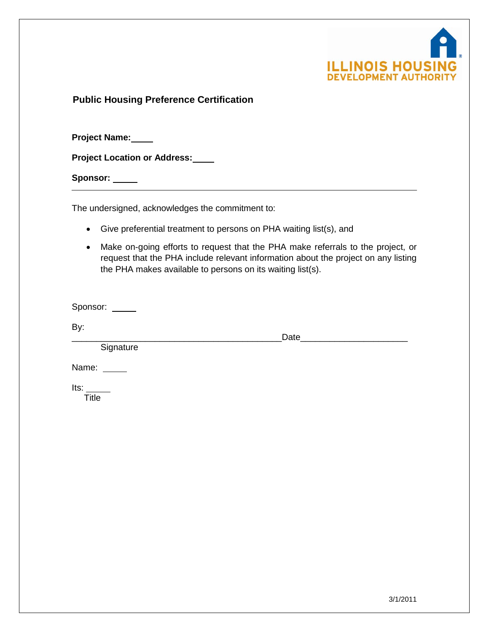

**Public Housing Preference Certification**

**Project Name:**

**Project Location or Address:**

Sponsor: \_\_\_\_\_

The undersigned, acknowledges the commitment to:

- Give preferential treatment to persons on PHA waiting list(s), and
- Make on-going efforts to request that the PHA make referrals to the project, or request that the PHA include relevant information about the project on any listing the PHA makes available to persons on its waiting list(s).

Sponsor: \_\_\_\_\_

By:

**Signature** 

\_\_\_\_\_\_\_\_\_\_\_\_\_\_\_\_\_\_\_\_\_\_\_\_\_\_\_\_\_\_\_\_\_\_\_\_\_\_\_\_\_\_\_Date\_\_\_\_\_\_\_\_\_\_\_\_\_\_\_\_\_\_\_\_\_\_

Name: \_\_\_\_\_

Its:

**Title**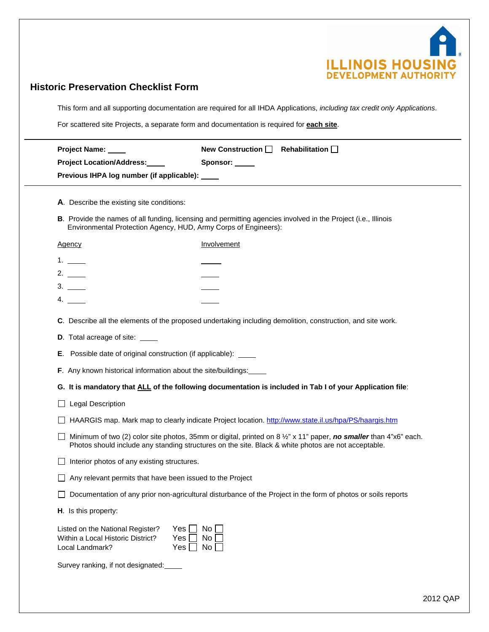

# **Historic Preservation Checklist Form**

This form and all supporting documentation are required for all IHDA Applications, *including tax credit only Applications*.

For scattered site Projects, a separate form and documentation is required for **each site**.

| Project Name: ____                                                                       | New Construction $\Box$ Rehabilitation $\Box$                                                                                                                                                                                       |
|------------------------------------------------------------------------------------------|-------------------------------------------------------------------------------------------------------------------------------------------------------------------------------------------------------------------------------------|
| <b>Project Location/Address:</b>                                                         | Sponsor: _____                                                                                                                                                                                                                      |
| Previous IHPA log number (if applicable): ____                                           |                                                                                                                                                                                                                                     |
| A. Describe the existing site conditions:                                                |                                                                                                                                                                                                                                     |
| Environmental Protection Agency, HUD, Army Corps of Engineers):                          | B. Provide the names of all funding, licensing and permitting agencies involved in the Project (i.e., Illinois                                                                                                                      |
| <b>Agency</b>                                                                            | Involvement                                                                                                                                                                                                                         |
|                                                                                          |                                                                                                                                                                                                                                     |
|                                                                                          |                                                                                                                                                                                                                                     |
| 3.                                                                                       |                                                                                                                                                                                                                                     |
| 4.                                                                                       |                                                                                                                                                                                                                                     |
|                                                                                          | C. Describe all the elements of the proposed undertaking including demolition, construction, and site work.                                                                                                                         |
| <b>D.</b> Total acreage of site: _____                                                   |                                                                                                                                                                                                                                     |
| <b>E</b> . Possible date of original construction (if applicable): _____                 |                                                                                                                                                                                                                                     |
| F. Any known historical information about the site/buildings:                            |                                                                                                                                                                                                                                     |
|                                                                                          | G. It is mandatory that ALL of the following documentation is included in Tab I of your Application file:                                                                                                                           |
| <b>Legal Description</b>                                                                 |                                                                                                                                                                                                                                     |
|                                                                                          | HAARGIS map. Mark map to clearly indicate Project location. http://www.state.il.us/hpa/PS/haargis.htm                                                                                                                               |
|                                                                                          | Minimum of two (2) color site photos, 35mm or digital, printed on 8 $\frac{1}{2}$ " x 11" paper, no smaller than 4"x6" each.<br>Photos should include any standing structures on the site. Black & white photos are not acceptable. |
| Interior photos of any existing structures.                                              |                                                                                                                                                                                                                                     |
| Any relevant permits that have been issued to the Project                                |                                                                                                                                                                                                                                     |
|                                                                                          | □ Documentation of any prior non-agricultural disturbance of the Project in the form of photos or soils reports                                                                                                                     |
| H. Is this property:                                                                     |                                                                                                                                                                                                                                     |
| Listed on the National Register?<br>Within a Local Historic District?<br>Local Landmark? | No<br>Yes<br>No<br>Yes<br>No<br>Yes                                                                                                                                                                                                 |
|                                                                                          |                                                                                                                                                                                                                                     |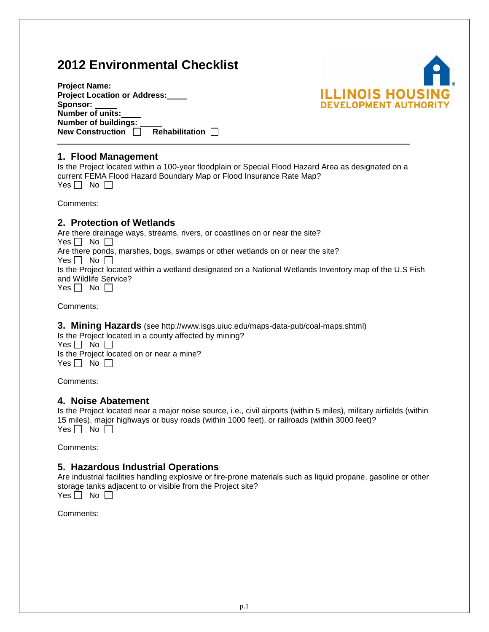# **2012 Environmental Checklist**

| <b>Project Name:</b>                             |  |
|--------------------------------------------------|--|
| <b>Project Location or Address:</b>              |  |
| Sponsor:                                         |  |
| <b>Number of units:</b>                          |  |
| <b>Number of buildings:</b>                      |  |
| <b>New Construction</b><br><b>Rehabilitation</b> |  |



## **1. Flood Management**

Is the Project located within a 100-year floodplain or Special Flood Hazard Area as designated on a current FEMA Flood Hazard Boundary Map or Flood Insurance Rate Map? Yes  $\Box$  No  $\Box$ 

Comments:

## **2. Protection of Wetlands**

Are there drainage ways, streams, rivers, or coastlines on or near the site? Yes  $\Box$  No  $\Box$ Are there ponds, marshes, bogs, swamps or other wetlands on or near the site? Yes  $\Box$  No  $\Box$ Is the Project located within a wetland designated on a National Wetlands Inventory map of the U.S Fish and Wildlife Service? Yes  $\Box$  No  $\Box$ 

Comments:

**3. Mining Hazards** (see http://www.isgs.uiuc.edu/maps-data-pub/coal-maps.shtml)

Is the Project located in a county affected by mining?  $Yes \Box No \Box$ Is the Project located on or near a mine? Yes  $\Box$  No  $\Box$ 

Comments:

## **4. Noise Abatement**

Is the Project located near a major noise source, i.e., civil airports (within 5 miles), military airfields (within 15 miles), major highways or busy roads (within 1000 feet), or railroads (within 3000 feet)? Yes  $\Box$  No  $\Box$ 

Comments:

## **5. Hazardous Industrial Operations**

Are industrial facilities handling explosive or fire-prone materials such as liquid propane, gasoline or other storage tanks adjacent to or visible from the Project site? Yes  $\Box$  No  $\Box$ 

Comments: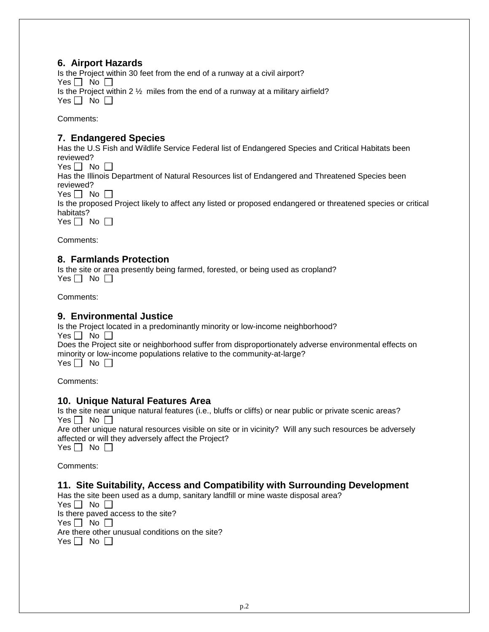## **6. Airport Hazards**

Is the Project within 30 feet from the end of a runway at a civil airport? Yes  $\Box$  No  $\Box$ Is the Project within 2  $\frac{1}{2}$  miles from the end of a runway at a military airfield? Yes  $\Box$  No  $\Box$ 

Comments:

## **7. Endangered Species**

Has the U.S Fish and Wildlife Service Federal list of Endangered Species and Critical Habitats been reviewed?

Yes  $\Box$  No  $\Box$ 

Has the Illinois Department of Natural Resources list of Endangered and Threatened Species been reviewed?

Yes  $\Box$  No  $\Box$ 

Is the proposed Project likely to affect any listed or proposed endangered or threatened species or critical habitats?

Yes  $\Box$  No  $\Box$ 

Comments:

## **8. Farmlands Protection**

Is the site or area presently being farmed, forested, or being used as cropland? Yes  $\Box$  No  $\Box$ 

Comments:

## **9. Environmental Justice**

Is the Project located in a predominantly minority or low-income neighborhood? Yes  $\Box$  No  $\Box$ Does the Project site or neighborhood suffer from disproportionately adverse environmental effects on minority or low-income populations relative to the community-at-large? Yes  $\Box$  No  $\Box$ 

Comments:

## **10. Unique Natural Features Area**

Is the site near unique natural features (i.e., bluffs or cliffs) or near public or private scenic areas? Yes  $\Box$  No  $\Box$ 

Are other unique natural resources visible on site or in vicinity? Will any such resources be adversely affected or will they adversely affect the Project?

Yes  $\Box$  No  $\Box$ 

Comments:

## **11. Site Suitability, Access and Compatibility with Surrounding Development**

Has the site been used as a dump, sanitary landfill or mine waste disposal area?

Yes  $\Box$  No  $\Box$ 

Is there paved access to the site? Yes  $\Box$  No  $\Box$ 

Are there other unusual conditions on the site?

Yes  $\Box$  No  $\Box$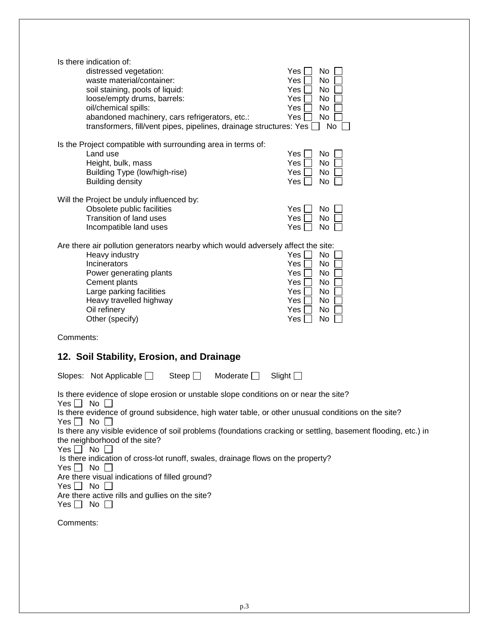| Is there indication of:<br>distressed vegetation:<br>waste material/container:<br>soil staining, pools of liquid:<br>loose/empty drums, barrels:<br>oil/chemical spills:<br>abandoned machinery, cars refrigerators, etc.:<br>transformers, fill/vent pipes, pipelines, drainage structures: Yes                                                                                                                                                                                                                                                                                                                                                                          | Yes<br>No<br>Yes<br>No<br>No<br>Yes<br>Yes<br>No<br>Yes<br>No<br>Yes<br>No<br>No                                   |
|---------------------------------------------------------------------------------------------------------------------------------------------------------------------------------------------------------------------------------------------------------------------------------------------------------------------------------------------------------------------------------------------------------------------------------------------------------------------------------------------------------------------------------------------------------------------------------------------------------------------------------------------------------------------------|--------------------------------------------------------------------------------------------------------------------|
| Is the Project compatible with surrounding area in terms of:<br>Land use<br>Height, bulk, mass<br>Building Type (low/high-rise)<br><b>Building density</b>                                                                                                                                                                                                                                                                                                                                                                                                                                                                                                                | No<br>Yes<br>Yes<br>No<br><b>Yes</b><br>No<br>Yes<br>No                                                            |
| Will the Project be unduly influenced by:<br>Obsolete public facilities<br>Transition of land uses<br>Incompatible land uses                                                                                                                                                                                                                                                                                                                                                                                                                                                                                                                                              | Yes<br>No<br>No<br>Yes<br>No<br>Yes                                                                                |
| Are there air pollution generators nearby which would adversely affect the site:<br>Heavy industry<br>Incinerators<br>Power generating plants<br>Cement plants<br>Large parking facilities<br>Heavy travelled highway<br>Oil refinery<br>Other (specify)                                                                                                                                                                                                                                                                                                                                                                                                                  | Yes<br>No<br>Yes<br>No<br><b>Yes</b><br>No<br>Yes<br>No<br><b>Yes</b><br>No<br>Yes<br>No<br>No<br>Yes<br>Yes<br>No |
| Comments:                                                                                                                                                                                                                                                                                                                                                                                                                                                                                                                                                                                                                                                                 |                                                                                                                    |
| 12. Soil Stability, Erosion, and Drainage                                                                                                                                                                                                                                                                                                                                                                                                                                                                                                                                                                                                                                 |                                                                                                                    |
| Steep $\Box$<br>Moderate $\Box$<br>Slopes: Not Applicable $\Box$                                                                                                                                                                                                                                                                                                                                                                                                                                                                                                                                                                                                          | Slight $\square$                                                                                                   |
| Is there evidence of slope erosion or unstable slope conditions on or near the site?<br>Yes $\Box$<br>No<br>Is there evidence of ground subsidence, high water table, or other unusual conditions on the site?<br>No<br>Yes l<br>Is there any visible evidence of soil problems (foundations cracking or settling, basement flooding, etc.) in<br>the neighborhood of the site?<br>$Yes \Box No \Box$<br>Is there indication of cross-lot runoff, swales, drainage flows on the property?<br>$Yes \bigsqcup No$<br>Are there visual indications of filled ground?<br>$No$ $\Box$<br>Yes    <br>Are there active rills and gullies on the site?<br>No $\Box$<br>Yes $\Box$ |                                                                                                                    |
| Comments:                                                                                                                                                                                                                                                                                                                                                                                                                                                                                                                                                                                                                                                                 |                                                                                                                    |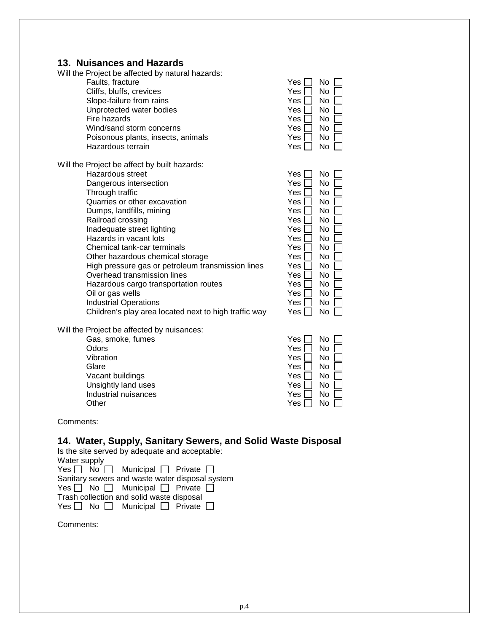## **13. Nuisances and Hazards**

| <b>THRISHINGS AND LIBERIUS</b><br>Will the Project be affected by natural hazards: |              |
|------------------------------------------------------------------------------------|--------------|
| Faults, fracture                                                                   | Yes l<br>No. |
|                                                                                    |              |
| Cliffs, bluffs, crevices                                                           | Yes  <br>No  |
| Slope-failure from rains                                                           | Yes  <br>No. |
| Unprotected water bodies                                                           | Yes l<br>No. |
| Fire hazards                                                                       | Yes  <br>No  |
| Wind/sand storm concerns                                                           | Yes  <br>No  |
| Poisonous plants, insects, animals                                                 | No<br>Yes    |
| Hazardous terrain                                                                  | No<br>Yes [  |
| Will the Project be affect by built hazards:                                       |              |
| Hazardous street                                                                   | Yes  <br>No  |
| Dangerous intersection                                                             | No.<br>Yes l |
| Through traffic                                                                    | Yes l<br>No. |
| Quarries or other excavation                                                       | Yes l<br>No. |
| Dumps, landfills, mining                                                           | Yes l<br>No  |
| Railroad crossing                                                                  | Yes l<br>No  |
| Inadequate street lighting                                                         | No<br>Yes l  |
| Hazards in vacant lots                                                             | Yes l<br>No  |
| Chemical tank-car terminals                                                        | Yes<br>No    |
| Other hazardous chemical storage                                                   | No<br>Yes    |
|                                                                                    | Yes<br>No    |
| High pressure gas or petroleum transmission lines<br>Overhead transmission lines   |              |
|                                                                                    | No<br>Yes    |
| Hazardous cargo transportation routes                                              | Yes  <br>No  |
| Oil or gas wells                                                                   | Yes  <br>No  |
| <b>Industrial Operations</b>                                                       | Yes  <br>No  |
| Children's play area located next to high traffic way                              | No<br>Yes    |
| Will the Project be affected by nuisances:                                         |              |
| Gas, smoke, fumes                                                                  | No<br>Yes    |
| Odors                                                                              | Yes  <br>No  |
| Vibration                                                                          | Yes  <br>No  |
| Glare                                                                              | Yes I<br>No  |
| Vacant buildings                                                                   | Yes  <br>No  |
| Unsightly land uses                                                                | Yes<br>No    |
| Industrial nuisances                                                               | No<br>Yes    |
| Other                                                                              | No<br>Yes l  |
|                                                                                    |              |

Comments:

## **14. Water, Supply, Sanitary Sewers, and Solid Waste Disposal**

Is the site served by adequate and acceptable:

| Water supply                                         |
|------------------------------------------------------|
| Yes $\Box$ No $\Box$ Municipal $\Box$ Private $\Box$ |
| Sanitary sewers and waste water disposal system      |
| Yes $\Box$ No $\Box$ Municipal $\Box$ Private $\Box$ |
| Trash collection and solid waste disposal            |
| Yes $\Box$ No $\Box$ Municipal $\Box$ Private $\Box$ |

Comments: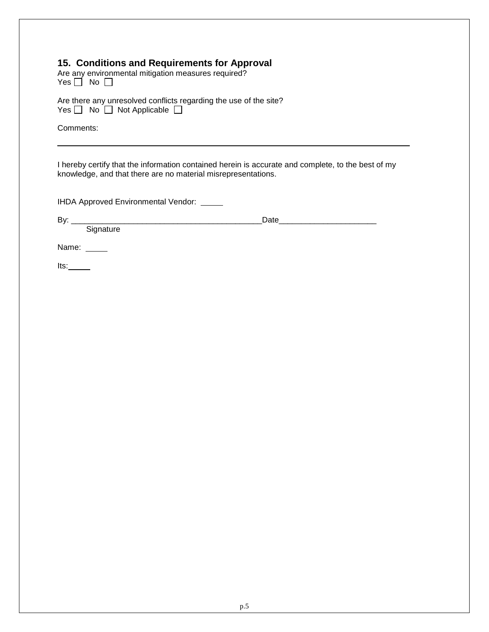## **15. Conditions and Requirements for Approval**

Are any environmental mitigation measures required? Yes  $\Box$  No  $\Box$ 

Are there any unresolved conflicts regarding the use of the site?  $Yes \bigsqcup No \bigsqcup No$  Applicable

Comments:

I hereby certify that the information contained herein is accurate and complete, to the best of my knowledge, and that there are no material misrepresentations.

IHDA Approved Environmental Vendor:

By: \_\_\_\_\_\_\_\_\_\_\_\_\_\_\_\_\_\_\_\_\_\_\_\_\_\_\_\_\_\_\_\_\_\_\_\_\_\_\_\_\_\_\_Date\_\_\_\_\_\_\_\_\_\_\_\_\_\_\_\_\_\_\_\_\_\_

Name: \_\_\_\_\_

Signature

 $Its:$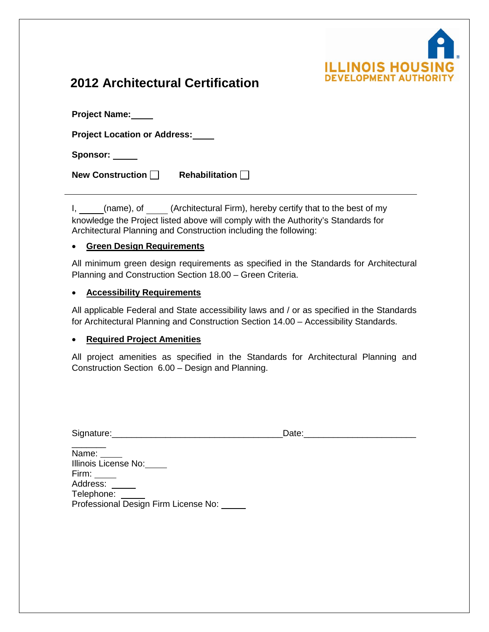

# **2012 Architectural Certification**

| <b>Project Name:</b>                |                       |
|-------------------------------------|-----------------------|
| <b>Project Location or Address:</b> |                       |
| Sponsor: ___                        |                       |
| New Construction                    | Rehabilitation $\Box$ |

I, (name), of (Architectural Firm), hereby certify that to the best of my knowledge the Project listed above will comply with the Authority's Standards for Architectural Planning and Construction including the following:

## • **Green Design Requirements**

All minimum green design requirements as specified in the Standards for Architectural Planning and Construction Section 18.00 – Green Criteria.

## • **Accessibility Requirements**

All applicable Federal and State accessibility laws and / or as specified in the Standards for Architectural Planning and Construction Section 14.00 – Accessibility Standards.

## • **Required Project Amenities**

All project amenities as specified in the Standards for Architectural Planning and Construction Section 6.00 – Design and Planning.

| Signature | --- |
|-----------|-----|
| --        | --  |
|           |     |

 $\overline{\phantom{a}}$ Name: Illinois License No: Firm:  $\frac{1}{\sqrt{1-\frac{1}{2}}}$ Address: Telephone: Professional Design Firm License No: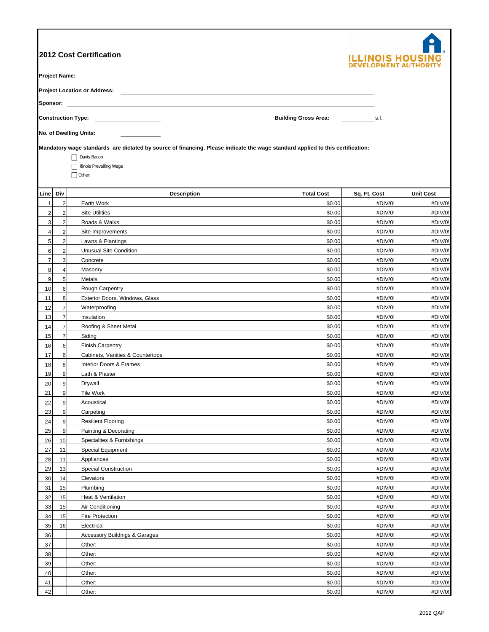|                     |                                                                                  | 2012 Cost Certification<br><b>Project Name:</b> The contract of the contract of the contract of the contract of the contract of the contract of the contract of the contract of the contract of the contract of the contract of the contract of the contract o |                   | ILLINOIS HO        |                    |  |  |  |  |  |  |
|---------------------|----------------------------------------------------------------------------------|----------------------------------------------------------------------------------------------------------------------------------------------------------------------------------------------------------------------------------------------------------------|-------------------|--------------------|--------------------|--|--|--|--|--|--|
|                     |                                                                                  | Sponsor: <u>Communication</u>                                                                                                                                                                                                                                  |                   |                    |                    |  |  |  |  |  |  |
|                     | <b>Construction Type: Construction Type:</b><br><b>Building Gross Area:</b> S.f. |                                                                                                                                                                                                                                                                |                   |                    |                    |  |  |  |  |  |  |
|                     |                                                                                  | No. of Dwelling Units:                                                                                                                                                                                                                                         |                   |                    |                    |  |  |  |  |  |  |
|                     |                                                                                  | Mandatory wage standards are dictated by source of financing. Please indicate the wage standard applied to this certification:<br>Davis Bacon<br>Illinois Prevailing Wage<br>$\Box$ Other:                                                                     |                   |                    |                    |  |  |  |  |  |  |
| Line                | Div                                                                              | <b>Description</b>                                                                                                                                                                                                                                             | <b>Total Cost</b> | Sq. Ft. Cost       | <b>Unit Cost</b>   |  |  |  |  |  |  |
| $\mathbf{1}$        | $\mathbf 2$                                                                      | Earth Work                                                                                                                                                                                                                                                     | \$0.00            | #DIV/0!            | #DIV/0!            |  |  |  |  |  |  |
| $\sqrt{2}$          | $\mathbf 2$                                                                      | <b>Site Utilities</b>                                                                                                                                                                                                                                          | \$0.00            | #DIV/0!            | #DIV/0!            |  |  |  |  |  |  |
| 3<br>$\overline{4}$ | $\mathbf 2$<br>$\mathbf 2$                                                       | Roads & Walks                                                                                                                                                                                                                                                  | \$0.00            | #DIV/0!            | #DIV/0!            |  |  |  |  |  |  |
| $\sqrt{5}$          | $\overline{\mathbf{c}}$                                                          | Site Improvements<br>Lawns & Plantings                                                                                                                                                                                                                         | \$0.00<br>\$0.00  | #DIV/0!<br>#DIV/0! | #DIV/0!<br>#DIV/0! |  |  |  |  |  |  |
| 6                   | $\mathbf 2$                                                                      | <b>Unusual Site Condition</b>                                                                                                                                                                                                                                  | \$0.00            | #DIV/0!            | #DIV/0!            |  |  |  |  |  |  |
| $\overline{7}$      | 3                                                                                | Concrete                                                                                                                                                                                                                                                       | \$0.00            | #DIV/0!            | #DIV/0!            |  |  |  |  |  |  |
| 8                   | $\overline{\mathbf{4}}$                                                          | Masonry                                                                                                                                                                                                                                                        | \$0.00            | #DIV/0!            | #DIV/0!            |  |  |  |  |  |  |
| 9                   | 5                                                                                | Metals                                                                                                                                                                                                                                                         | \$0.00            | #DIV/0!            | #DIV/0!            |  |  |  |  |  |  |
| 10                  | 6                                                                                | Rough Carpentry                                                                                                                                                                                                                                                | \$0.00            | #DIV/0!            | #DIV/0!            |  |  |  |  |  |  |
| 11                  | 8                                                                                | Exterior Doors, Windows, Glass                                                                                                                                                                                                                                 | \$0.00            | #DIV/0!            | #DIV/0!            |  |  |  |  |  |  |
| 12                  | $\overline{\mathbf{7}}$                                                          | Waterproofing                                                                                                                                                                                                                                                  | \$0.00            | #DIV/0!            | #DIV/0!            |  |  |  |  |  |  |
| 13                  | $\overline{7}$                                                                   | Insulation                                                                                                                                                                                                                                                     | \$0.00            | #DIV/0!            | #DIV/0!            |  |  |  |  |  |  |
| 14                  | $\overline{\mathbf{7}}$                                                          | Roofing & Sheet Metal                                                                                                                                                                                                                                          | \$0.00            | #DIV/0!            | #DIV/0!            |  |  |  |  |  |  |
| 15                  | $\overline{7}$                                                                   | Siding                                                                                                                                                                                                                                                         | \$0.00            | #DIV/0!            | #DIV/0!            |  |  |  |  |  |  |
| 16                  | 6                                                                                | <b>Finish Carpentry</b>                                                                                                                                                                                                                                        | \$0.00            | #DIV/0!            | #DIV/0!            |  |  |  |  |  |  |
| 17                  | 6                                                                                | Cabinets, Vanities & Countertops                                                                                                                                                                                                                               | \$0.00            | #DIV/0!            | #DIV/0!            |  |  |  |  |  |  |
| 18                  | 8                                                                                | Interior Doors & Frames                                                                                                                                                                                                                                        | \$0.00            | #DIV/0!            | #DIV/0!            |  |  |  |  |  |  |
| 19                  | 9                                                                                | Lath & Plaster                                                                                                                                                                                                                                                 | \$0.00            | #DIV/0!            | #DIV/0!            |  |  |  |  |  |  |
| 20                  | 9                                                                                | Drywall                                                                                                                                                                                                                                                        | \$0.00            | #DIV/0!            | #DIV/0!            |  |  |  |  |  |  |
| 21<br>22            | 9<br>9                                                                           | Tile Work                                                                                                                                                                                                                                                      | \$0.00<br>\$0.00  | #DIV/0!<br>#DIV/0! | #DIV/0!<br>#DIV/0! |  |  |  |  |  |  |
| 23                  | 9                                                                                | Acoustical<br>Carpeting                                                                                                                                                                                                                                        | \$0.00            | #DIV/0!            | #DIV/0!            |  |  |  |  |  |  |
| 24                  | 9                                                                                | <b>Resilient Flooring</b>                                                                                                                                                                                                                                      | \$0.00            | #DIV/0!            | #DIV/0!            |  |  |  |  |  |  |
| 25                  | 9                                                                                | Painting & Decorating                                                                                                                                                                                                                                          | \$0.00            | #DIV/0!            | #DIV/0!            |  |  |  |  |  |  |
| 26                  | 10                                                                               | Specialties & Furnishings                                                                                                                                                                                                                                      | \$0.00            | #DIV/0!            | #DIV/0!            |  |  |  |  |  |  |
| 27                  | 11                                                                               | Special Equipment                                                                                                                                                                                                                                              | \$0.00            | #DIV/0!            | #DIV/0!            |  |  |  |  |  |  |
| 28                  | 11                                                                               | Appliances                                                                                                                                                                                                                                                     | \$0.00            | #DIV/0!            | #DIV/0!            |  |  |  |  |  |  |
| 29                  | 13                                                                               | <b>Special Construction</b>                                                                                                                                                                                                                                    | \$0.00            | #DIV/0!            | #DIV/0!            |  |  |  |  |  |  |
| 30                  | 14                                                                               | Elevators                                                                                                                                                                                                                                                      | \$0.00            | #DIV/0!            | #DIV/0!            |  |  |  |  |  |  |
| 31                  | 15                                                                               | Plumbing                                                                                                                                                                                                                                                       | \$0.00            | #DIV/0!            | #DIV/0!            |  |  |  |  |  |  |
| 32                  | 15                                                                               | Heat & Ventilation                                                                                                                                                                                                                                             | \$0.00            | #DIV/0!            | #DIV/0!            |  |  |  |  |  |  |
| 33                  | 15                                                                               | Air Conditioning                                                                                                                                                                                                                                               | \$0.00            | #DIV/0!            | #DIV/0!            |  |  |  |  |  |  |
| 34                  | 15                                                                               | Fire Protection                                                                                                                                                                                                                                                | \$0.00            | #DIV/0!            | #DIV/0!            |  |  |  |  |  |  |
| 35                  | 16                                                                               | Electrical                                                                                                                                                                                                                                                     | \$0.00            | #DIV/0!            | #DIV/0!            |  |  |  |  |  |  |
| 36                  |                                                                                  | <b>Accessory Buildings &amp; Garages</b>                                                                                                                                                                                                                       | \$0.00            | #DIV/0!            | #DIV/0!            |  |  |  |  |  |  |
| 37<br>38            |                                                                                  | Other:<br>Other:                                                                                                                                                                                                                                               | \$0.00<br>\$0.00  | #DIV/0!<br>#DIV/0! | #DIV/0!<br>#DIV/0! |  |  |  |  |  |  |
| 39                  |                                                                                  | Other:                                                                                                                                                                                                                                                         | \$0.00            | #DIV/0!            | #DIV/0!            |  |  |  |  |  |  |
| 40                  |                                                                                  | Other:                                                                                                                                                                                                                                                         | \$0.00            | #DIV/0!            | #DIV/0!            |  |  |  |  |  |  |
| 41                  |                                                                                  | Other:                                                                                                                                                                                                                                                         | \$0.00            | #DIV/0!            | #DIV/0!            |  |  |  |  |  |  |
| 42                  |                                                                                  | Other:                                                                                                                                                                                                                                                         | \$0.00            | #DIV/0!            | #DIV/0!            |  |  |  |  |  |  |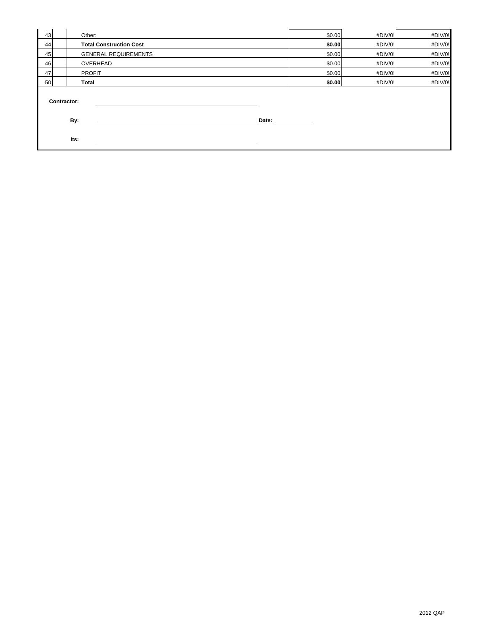| 43 | Other:                         |       | \$0.00 | #DIV/0! | #DIV/0! |
|----|--------------------------------|-------|--------|---------|---------|
| 44 | <b>Total Construction Cost</b> |       | \$0.00 | #DIV/0! | #DIV/0! |
| 45 | <b>GENERAL REQUIREMENTS</b>    |       | \$0.00 | #DIV/0! | #DIV/0! |
| 46 | OVERHEAD                       |       | \$0.00 | #DIV/0! | #DIV/0! |
| 47 | <b>PROFIT</b>                  |       | \$0.00 | #DIV/0! | #DIV/0! |
| 50 | Total                          |       | \$0.00 | #DIV/0! | #DIV/0! |
|    | <b>Contractor:</b><br>By:      | Date: |        |         |         |
|    |                                |       |        |         |         |
|    | Its:                           |       |        |         |         |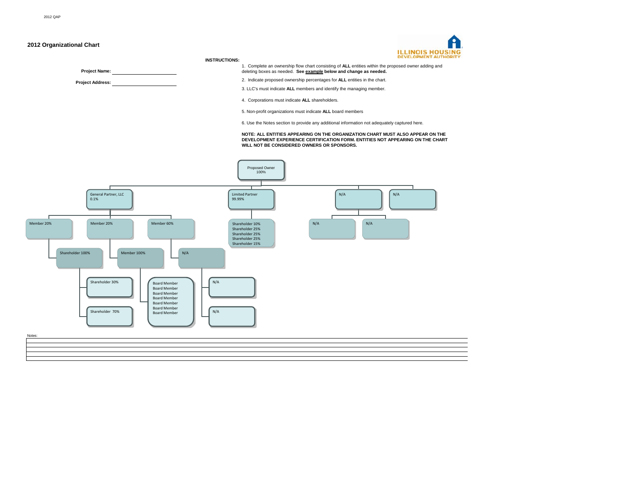#### **2012 Organizational Chart**

**Project Name: Project Address:** **ILLINOIS HOUSING**<br>DEVELOPMENT AUTHORITY

#### **INSTRUCTIONS:**

1. Complete an ownership flow chart consisting of **ALL** entities within the proposed owner adding and deleting boxes as needed. **See example below and change as needed.**

2. Indicate proposed ownership percentages for **ALL** entities in the chart.

3. LLC's must indicate **ALL** members and identify the managing member.

4. Corporations must indicate **ALL** shareholders.

5. Non-profit organizations must indicate **ALL** board members

6. Use the Notes section to provide any additional information not adequately captured here.

## **NOTE: ALL ENTITIES APPEARING ON THE ORGANIZATION CHART MUST ALSO APPEAR ON THE DEVELOPMENT EXPERIENCE CERTIFICATION FORM. ENTITIES NOT APPEARING ON THE CHART WILL NOT BE CONSIDERED OWNERS OR SPONSORS.**

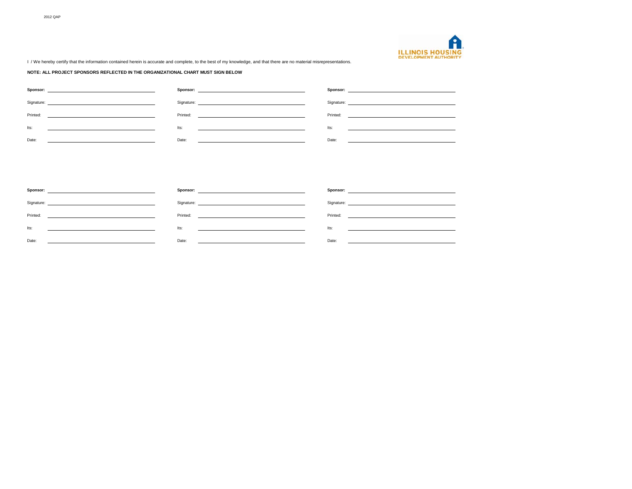

I / We hereby certify that the information contained herein is accurate and complete, to the best of my knowledge, and that there are no material misrepresentations.

#### **NOTE: ALL PROJECT SPONSORS REFLECTED IN THE ORGANIZATIONAL CHART MUST SIGN BELOW**

| Sponsor:<br><u>state and the state of the state of the state of the state of the state of the state of the state of the state of the state of the state of the state of the state of the state of the state of the state of the state of the</u> |                                                                                                                                                                                                                                |                                                      |
|--------------------------------------------------------------------------------------------------------------------------------------------------------------------------------------------------------------------------------------------------|--------------------------------------------------------------------------------------------------------------------------------------------------------------------------------------------------------------------------------|------------------------------------------------------|
| Signature:                                                                                                                                                                                                                                       | Signature: The contract of the contract of the contract of the contract of the contract of the contract of the contract of the contract of the contract of the contract of the contract of the contract of the contract of the |                                                      |
| Printed:                                                                                                                                                                                                                                         | Printed:                                                                                                                                                                                                                       | Printed:                                             |
|                                                                                                                                                                                                                                                  |                                                                                                                                                                                                                                | <u> 1980 - Jan Barbara Barbara, manazarta da kas</u> |
| lts:                                                                                                                                                                                                                                             | Its:                                                                                                                                                                                                                           | Its:                                                 |
|                                                                                                                                                                                                                                                  |                                                                                                                                                                                                                                |                                                      |
| Date:                                                                                                                                                                                                                                            | Date:                                                                                                                                                                                                                          | Date:                                                |
|                                                                                                                                                                                                                                                  |                                                                                                                                                                                                                                |                                                      |

| Sponsor:<br>the contract of the contract of the contract of the contract of the contract of | Sponsor:<br>the contract of the contract of the contract of the contract of the contract of the contract of              |                                                                                 |
|---------------------------------------------------------------------------------------------|--------------------------------------------------------------------------------------------------------------------------|---------------------------------------------------------------------------------|
|                                                                                             |                                                                                                                          |                                                                                 |
| Printed:                                                                                    | Printed:                                                                                                                 | Printed:                                                                        |
|                                                                                             |                                                                                                                          |                                                                                 |
| lts:                                                                                        | <u> 1980 - Jan Stein Harry Harry Harry Harry Harry Harry Harry Harry Harry Harry Harry Harry Harry Harry Harry Har</u>   | lts:                                                                            |
|                                                                                             | lts:                                                                                                                     |                                                                                 |
| Date:                                                                                       | Date:                                                                                                                    | Date:                                                                           |
| the contract of the contract of the contract of the contract of the contract of             | <u>state and the state of the state of the state of the state of the state of the state of the state of the state of</u> | the contract of the contract of the contract of the contract of the contract of |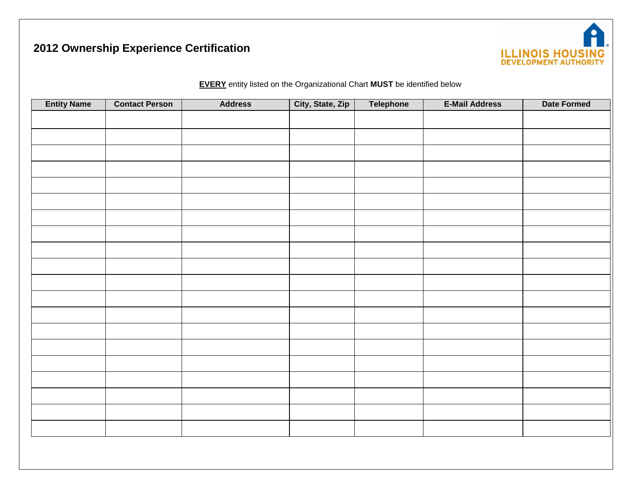# **2012 Ownership Experience Certification**



**EVERY** entity listed on the Organizational Chart **MUST** be identified below

| <b>Entity Name</b> | <b>Contact Person</b> | <b>Address</b> | City, State, Zip | Telephone | <b>E-Mail Address</b> | <b>Date Formed</b> |
|--------------------|-----------------------|----------------|------------------|-----------|-----------------------|--------------------|
|                    |                       |                |                  |           |                       |                    |
|                    |                       |                |                  |           |                       |                    |
|                    |                       |                |                  |           |                       |                    |
|                    |                       |                |                  |           |                       |                    |
|                    |                       |                |                  |           |                       |                    |
|                    |                       |                |                  |           |                       |                    |
|                    |                       |                |                  |           |                       |                    |
|                    |                       |                |                  |           |                       |                    |
|                    |                       |                |                  |           |                       |                    |
|                    |                       |                |                  |           |                       |                    |
|                    |                       |                |                  |           |                       |                    |
|                    |                       |                |                  |           |                       |                    |
|                    |                       |                |                  |           |                       |                    |
|                    |                       |                |                  |           |                       |                    |
|                    |                       |                |                  |           |                       |                    |
|                    |                       |                |                  |           |                       |                    |
|                    |                       |                |                  |           |                       |                    |
|                    |                       |                |                  |           |                       |                    |
|                    |                       |                |                  |           |                       |                    |
|                    |                       |                |                  |           |                       |                    |
|                    |                       |                |                  |           |                       |                    |
|                    |                       |                |                  |           |                       |                    |
|                    |                       |                |                  |           |                       |                    |
|                    |                       |                |                  |           |                       |                    |
|                    |                       |                |                  |           |                       |                    |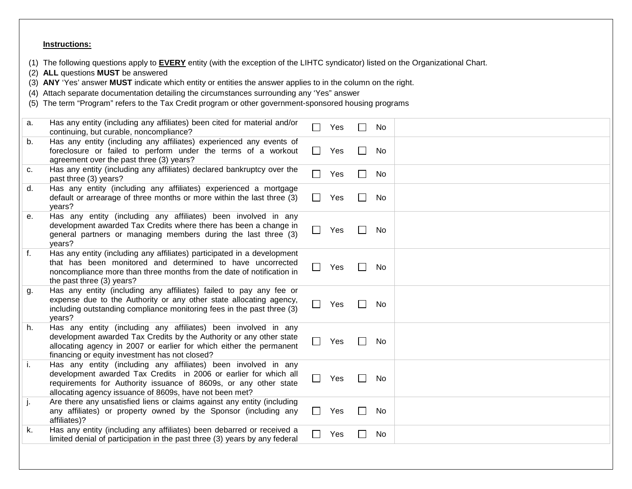## **Instructions:**

(1) The following questions apply to **EVERY** entity (with the exception of the LIHTC syndicator) listed on the Organizational Chart.

- (2) **ALL** questions **MUST** be answered
- (3) **ANY** 'Yes' answer **MUST** indicate which entity or entities the answer applies to in the column on the right.
- (4) Attach separate documentation detailing the circumstances surrounding any 'Yes" answer
- (5) The term "Program" refers to the Tax Credit program or other government-sponsored housing programs

| a.           | Has any entity (including any affiliates) been cited for material and/or<br>continuing, but curable, noncompliance?                                                                                                                                               |              | Yes | $\blacksquare$ | No |  |
|--------------|-------------------------------------------------------------------------------------------------------------------------------------------------------------------------------------------------------------------------------------------------------------------|--------------|-----|----------------|----|--|
| b.           | Has any entity (including any affiliates) experienced any events of<br>foreclosure or failed to perform under the terms of a workout<br>agreement over the past three (3) years?                                                                                  | $\perp$      | Yes | $\Box$         | No |  |
| C.           | Has any entity (including any affiliates) declared bankruptcy over the<br>past three (3) years?                                                                                                                                                                   | $\Box$       | Yes | $\Box$         | No |  |
| d.           | Has any entity (including any affiliates) experienced a mortgage<br>default or arrearage of three months or more within the last three (3)<br>years?                                                                                                              | $\perp$      | Yes | $\blacksquare$ | No |  |
| е.           | Has any entity (including any affiliates) been involved in any<br>development awarded Tax Credits where there has been a change in<br>general partners or managing members during the last three (3)<br>years?                                                    | $\Box$       | Yes | $\mathcal{L}$  | No |  |
| $f_{\rm{r}}$ | Has any entity (including any affiliates) participated in a development<br>that has been monitored and determined to have uncorrected<br>noncompliance more than three months from the date of notification in<br>the past three (3) years?                       |              | Yes | $\blacksquare$ | No |  |
| g.           | Has any entity (including any affiliates) failed to pay any fee or<br>expense due to the Authority or any other state allocating agency,<br>including outstanding compliance monitoring fees in the past three (3)<br>years?                                      | $\Box$       | Yes | $\Box$         | No |  |
| h.           | Has any entity (including any affiliates) been involved in any<br>development awarded Tax Credits by the Authority or any other state<br>allocating agency in 2007 or earlier for which either the permanent<br>financing or equity investment has not closed?    |              | Yes |                | No |  |
| i.           | Has any entity (including any affiliates) been involved in any<br>development awarded Tax Credits in 2006 or earlier for which all<br>requirements for Authority issuance of 8609s, or any other state<br>allocating agency issuance of 8609s, have not been met? | $\Box$       | Yes |                | No |  |
| j.           | Are there any unsatisfied liens or claims against any entity (including<br>any affiliates) or property owned by the Sponsor (including any<br>affiliates)?                                                                                                        | $\mathsf{L}$ | Yes | $\blacksquare$ | No |  |
| k.           | Has any entity (including any affiliates) been debarred or received a<br>limited denial of participation in the past three (3) years by any federal                                                                                                               | $\Box$       | Yes | $\blacksquare$ | No |  |
|              |                                                                                                                                                                                                                                                                   |              |     |                |    |  |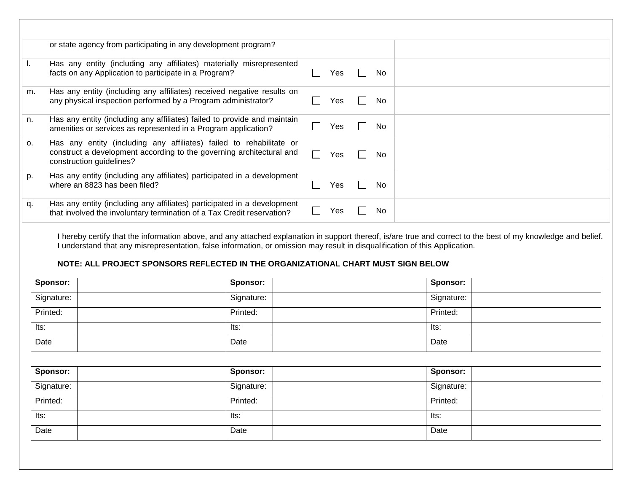|    | or state agency from participating in any development program?                                                                                                          |     |                |     |
|----|-------------------------------------------------------------------------------------------------------------------------------------------------------------------------|-----|----------------|-----|
|    | Has any entity (including any affiliates) materially misrepresented<br>facts on any Application to participate in a Program?                                            | Yes | e d            | No. |
| m. | Has any entity (including any affiliates) received negative results on<br>any physical inspection performed by a Program administrator?                                 | Yes | $\mathbb{R}^n$ | No. |
| n. | Has any entity (including any affiliates) failed to provide and maintain<br>amenities or services as represented in a Program application?                              | Yes |                | No. |
| 0. | Has any entity (including any affiliates) failed to rehabilitate or<br>construct a development according to the governing architectural and<br>construction guidelines? | Yes |                | No. |
| p. | Has any entity (including any affiliates) participated in a development<br>where an 8823 has been filed?                                                                | Yes |                | No. |
| q. | Has any entity (including any affiliates) participated in a development<br>that involved the involuntary termination of a Tax Credit reservation?                       | Yes |                | No. |

I hereby certify that the information above, and any attached explanation in support thereof, is/are true and correct to the best of my knowledge and belief. I understand that any misrepresentation, false information, or omission may result in disqualification of this Application.

## **NOTE: ALL PROJECT SPONSORS REFLECTED IN THE ORGANIZATIONAL CHART MUST SIGN BELOW**

| Sponsor:   | Sponsor:        | Sponsor:        |
|------------|-----------------|-----------------|
| Signature: | Signature:      | Signature:      |
| Printed:   | Printed:        | Printed:        |
| Its:       | Its:            | Its:            |
| Date       | Date            | Date            |
|            |                 |                 |
| Sponsor:   | <b>Sponsor:</b> | <b>Sponsor:</b> |
| Signature: | Signature:      | Signature:      |
| Printed:   | Printed:        | Printed:        |
| Its:       | Its:            | Its:            |
| Date       | Date            | Date            |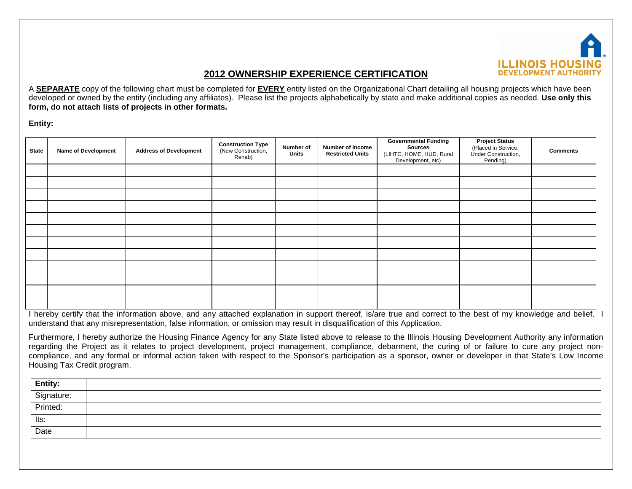

# **2012 OWNERSHIP EXPERIENCE CERTIFICATION**

A **SEPARATE** copy of the following chart must be completed for **EVERY** entity listed on the Organizational Chart detailing all housing projects which have been developed or owned by the entity (including any affiliates). Please list the projects alphabetically by state and make additional copies as needed. **Use only this form, do not attach lists of projects in other formats.**

**Entity:**

| <b>State</b> | <b>Name of Development</b> | <b>Address of Development</b> | <b>Construction Type</b><br>(New Construction,<br>Rehab) | Number of<br><b>Units</b> | Number of Income<br><b>Restricted Units</b> | <b>Governmental Funding</b><br><b>Sources</b><br>(LIHTC, HOME, HUD, Rural<br>Development, etc) | <b>Project Status</b><br>(Placed in Service,<br>Under Construction,<br>Pending) | <b>Comments</b> |
|--------------|----------------------------|-------------------------------|----------------------------------------------------------|---------------------------|---------------------------------------------|------------------------------------------------------------------------------------------------|---------------------------------------------------------------------------------|-----------------|
|              |                            |                               |                                                          |                           |                                             |                                                                                                |                                                                                 |                 |
|              |                            |                               |                                                          |                           |                                             |                                                                                                |                                                                                 |                 |
|              |                            |                               |                                                          |                           |                                             |                                                                                                |                                                                                 |                 |
|              |                            |                               |                                                          |                           |                                             |                                                                                                |                                                                                 |                 |
|              |                            |                               |                                                          |                           |                                             |                                                                                                |                                                                                 |                 |
|              |                            |                               |                                                          |                           |                                             |                                                                                                |                                                                                 |                 |
|              |                            |                               |                                                          |                           |                                             |                                                                                                |                                                                                 |                 |
|              |                            |                               |                                                          |                           |                                             |                                                                                                |                                                                                 |                 |
|              |                            |                               |                                                          |                           |                                             |                                                                                                |                                                                                 |                 |
|              |                            |                               |                                                          |                           |                                             |                                                                                                |                                                                                 |                 |
|              |                            |                               |                                                          |                           |                                             |                                                                                                |                                                                                 |                 |
|              |                            |                               |                                                          |                           |                                             |                                                                                                |                                                                                 |                 |

I hereby certify that the information above, and any attached explanation in support thereof, is/are true and correct to the best of my knowledge and belief. I understand that any misrepresentation, false information, or omission may result in disqualification of this Application.

Furthermore, I hereby authorize the Housing Finance Agency for any State listed above to release to the Illinois Housing Development Authority any information regarding the Project as it relates to project development, project management, compliance, debarment, the curing of or failure to cure any project noncompliance, and any formal or informal action taken with respect to the Sponsor's participation as a sponsor, owner or developer in that State's Low Income Housing Tax Credit program.

| <b>Entity:</b> |  |
|----------------|--|
| Signature:     |  |
| Printed:       |  |
| Its:           |  |
| Date           |  |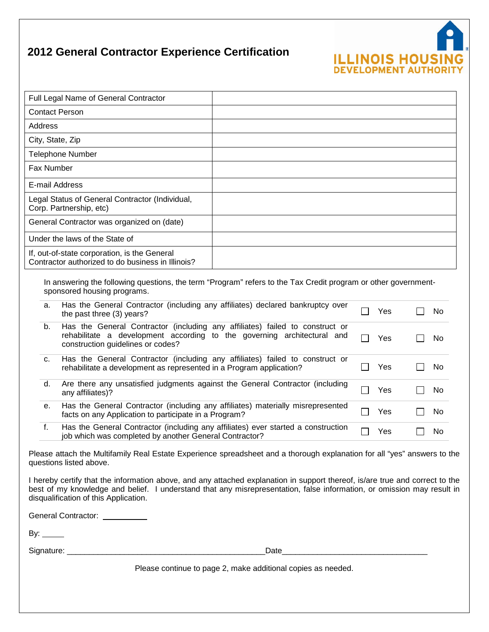# **2012 General Contractor Experience Certification**

| Full Legal Name of General Contractor                                                             |  |
|---------------------------------------------------------------------------------------------------|--|
| <b>Contact Person</b>                                                                             |  |
| Address                                                                                           |  |
| City, State, Zip                                                                                  |  |
| <b>Telephone Number</b>                                                                           |  |
| Fax Number                                                                                        |  |
| E-mail Address                                                                                    |  |
| Legal Status of General Contractor (Individual,<br>Corp. Partnership, etc)                        |  |
| General Contractor was organized on (date)                                                        |  |
| Under the laws of the State of                                                                    |  |
| If, out-of-state corporation, is the General<br>Contractor authorized to do business in Illinois? |  |
|                                                                                                   |  |

**ILLINOIS HOUSIN**<br>DEVELOPMENT AUTHORI

In answering the following questions, the term "Program" refers to the Tax Credit program or other governmentsponsored housing programs.

| а. | Has the General Contractor (including any affiliates) declared bankruptcy over<br>the past three (3) years?                                                                                  | Yes | No |
|----|----------------------------------------------------------------------------------------------------------------------------------------------------------------------------------------------|-----|----|
| b. | Has the General Contractor (including any affiliates) failed to construct or<br>rehabilitate a development according to the governing architectural and<br>construction guidelines or codes? | Yes | No |
| C. | Has the General Contractor (including any affiliates) failed to construct or<br>rehabilitate a development as represented in a Program application?                                          | Yes | No |
| d. | Are there any unsatisfied judgments against the General Contractor (including<br>any affiliates)?                                                                                            | Yes | No |
| е. | Has the General Contractor (including any affiliates) materially misrepresented<br>facts on any Application to participate in a Program?                                                     | Yes | No |
| f. | Has the General Contractor (including any affiliates) ever started a construction<br>job which was completed by another General Contractor?                                                  | Yes | No |

Please attach the Multifamily Real Estate Experience spreadsheet and a thorough explanation for all "yes" answers to the questions listed above.

I hereby certify that the information above, and any attached explanation in support thereof, is/are true and correct to the best of my knowledge and belief. I understand that any misrepresentation, false information, or omission may result in disqualification of this Application.

General Contractor: **CONTENSIST** 

By:  $\frac{2}{\sqrt{2}}$ 

Signature: \_\_\_\_\_\_\_\_\_\_\_\_\_\_\_\_\_\_\_\_\_\_\_\_\_\_\_\_\_\_\_\_\_\_\_\_\_\_\_\_\_\_\_\_\_Date\_\_\_\_\_\_\_\_\_\_\_\_\_\_\_\_\_\_\_\_\_\_\_\_\_\_\_\_\_\_\_\_\_

Please continue to page 2, make additional copies as needed.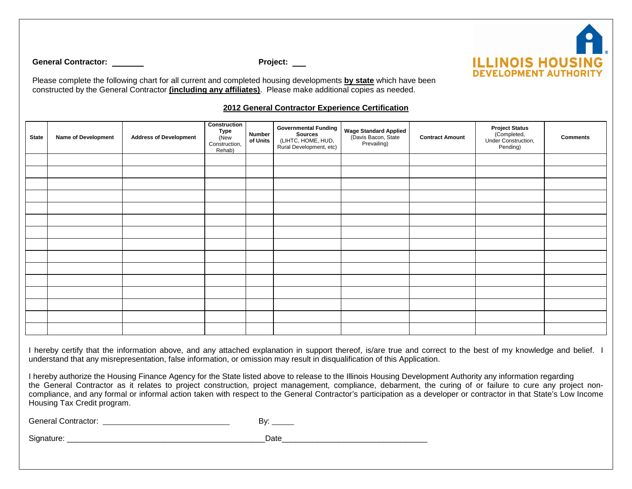

**General Contractor: Project: Project: Project: Project: Project: Project: Project: Project: Project: Project: Project: Project: Project: Project: Project: Project: Project: Project: P** 

Please complete the following chart for all current and completed housing developments **by state** which have been constructed by the General Contractor **(including any affiliates)**. Please make additional copies as needed.

## **2012 General Contractor Experience Certification**

| <b>State</b> | <b>Name of Development</b> | <b>Address of Development</b> | Construction<br>Type<br>(New<br>Construction,<br>Rehab) | Number<br>of Units | <b>Governmental Funding</b><br>Sources<br>(LIHTC, HOME, HUD,<br>Rural Development, etc) | Wage Standard Applied<br>(Davis Bacon, State<br>Prevailing) | <b>Contract Amount</b> | <b>Project Status</b><br>(Completed,<br>Under Construction,<br>Pending) | <b>Comments</b> |
|--------------|----------------------------|-------------------------------|---------------------------------------------------------|--------------------|-----------------------------------------------------------------------------------------|-------------------------------------------------------------|------------------------|-------------------------------------------------------------------------|-----------------|
|              |                            |                               |                                                         |                    |                                                                                         |                                                             |                        |                                                                         |                 |
|              |                            |                               |                                                         |                    |                                                                                         |                                                             |                        |                                                                         |                 |
|              |                            |                               |                                                         |                    |                                                                                         |                                                             |                        |                                                                         |                 |
|              |                            |                               |                                                         |                    |                                                                                         |                                                             |                        |                                                                         |                 |
|              |                            |                               |                                                         |                    |                                                                                         |                                                             |                        |                                                                         |                 |
|              |                            |                               |                                                         |                    |                                                                                         |                                                             |                        |                                                                         |                 |
|              |                            |                               |                                                         |                    |                                                                                         |                                                             |                        |                                                                         |                 |
|              |                            |                               |                                                         |                    |                                                                                         |                                                             |                        |                                                                         |                 |
|              |                            |                               |                                                         |                    |                                                                                         |                                                             |                        |                                                                         |                 |
|              |                            |                               |                                                         |                    |                                                                                         |                                                             |                        |                                                                         |                 |
|              |                            |                               |                                                         |                    |                                                                                         |                                                             |                        |                                                                         |                 |
|              |                            |                               |                                                         |                    |                                                                                         |                                                             |                        |                                                                         |                 |
|              |                            |                               |                                                         |                    |                                                                                         |                                                             |                        |                                                                         |                 |
|              |                            |                               |                                                         |                    |                                                                                         |                                                             |                        |                                                                         |                 |
|              |                            |                               |                                                         |                    |                                                                                         |                                                             |                        |                                                                         |                 |

I hereby certify that the information above, and any attached explanation in support thereof, is/are true and correct to the best of my knowledge and belief. I understand that any misrepresentation, false information, or omission may result in disqualification of this Application.

I hereby authorize the Housing Finance Agency for the State listed above to release to the Illinois Housing Development Authority any information regarding the General Contractor as it relates to project construction, project management, compliance, debarment, the curing of or failure to cure any project noncompliance, and any formal or informal action taken with respect to the General Contractor's participation as a developer or contractor in that State's Low Income Housing Tax Credit program.

General Contractor: By: By:

Signature: \_\_\_\_\_\_\_\_\_\_\_\_\_\_\_\_\_\_\_\_\_\_\_\_\_\_\_\_\_\_\_\_\_\_\_\_\_\_\_\_\_\_\_\_\_Date\_\_\_\_\_\_\_\_\_\_\_\_\_\_\_\_\_\_\_\_\_\_\_\_\_\_\_\_\_\_\_\_\_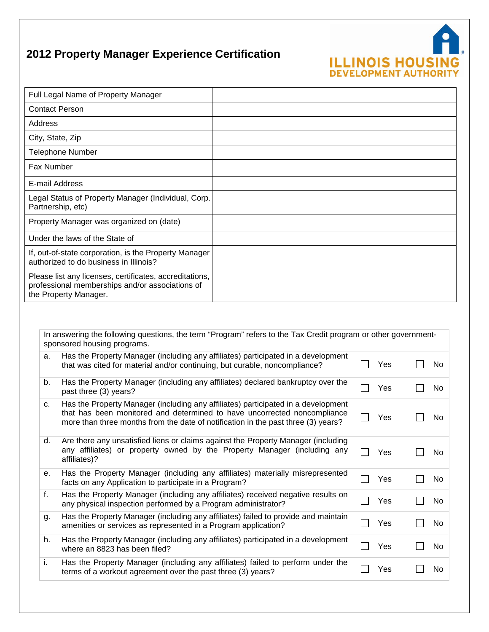# **ILLINOIS HOUSING**<br>DEVELOPMENT AUTHORITY

# **2012 Property Manager Experience Certification**

| Full Legal Name of Property Manager                                                                                                 |  |
|-------------------------------------------------------------------------------------------------------------------------------------|--|
| <b>Contact Person</b>                                                                                                               |  |
| Address                                                                                                                             |  |
| City, State, Zip                                                                                                                    |  |
| <b>Telephone Number</b>                                                                                                             |  |
| <b>Fax Number</b>                                                                                                                   |  |
| E-mail Address                                                                                                                      |  |
| Legal Status of Property Manager (Individual, Corp.<br>Partnership, etc)                                                            |  |
| Property Manager was organized on (date)                                                                                            |  |
| Under the laws of the State of                                                                                                      |  |
| If, out-of-state corporation, is the Property Manager<br>authorized to do business in Illinois?                                     |  |
| Please list any licenses, certificates, accreditations,<br>professional memberships and/or associations of<br>the Property Manager. |  |

In answering the following questions, the term "Program" refers to the Tax Credit program or other governmentsponsored housing programs.

| a. | Has the Property Manager (including any affiliates) participated in a development<br>that was cited for material and/or continuing, but curable, noncompliance?                                                                                    | Yes | No.       |
|----|----------------------------------------------------------------------------------------------------------------------------------------------------------------------------------------------------------------------------------------------------|-----|-----------|
| b. | Has the Property Manager (including any affiliates) declared bankruptcy over the<br>past three (3) years?                                                                                                                                          | Yes | <b>No</b> |
| C. | Has the Property Manager (including any affiliates) participated in a development<br>that has been monitored and determined to have uncorrected noncompliance<br>more than three months from the date of notification in the past three (3) years? | Yes | No.       |
| d. | Are there any unsatisfied liens or claims against the Property Manager (including<br>any affiliates) or property owned by the Property Manager (including any<br>affiliates)?                                                                      | Yes | <b>No</b> |
| е. | Has the Property Manager (including any affiliates) materially misrepresented<br>facts on any Application to participate in a Program?                                                                                                             | Yes | <b>No</b> |
| f. | Has the Property Manager (including any affiliates) received negative results on<br>any physical inspection performed by a Program administrator?                                                                                                  | Yes | <b>No</b> |
| g. | Has the Property Manager (including any affiliates) failed to provide and maintain<br>amenities or services as represented in a Program application?                                                                                               | Yes | <b>No</b> |
| h. | Has the Property Manager (including any affiliates) participated in a development<br>where an 8823 has been filed?                                                                                                                                 | Yes | No        |
| i. | Has the Property Manager (including any affiliates) failed to perform under the<br>terms of a workout agreement over the past three (3) years?                                                                                                     | Yes | No        |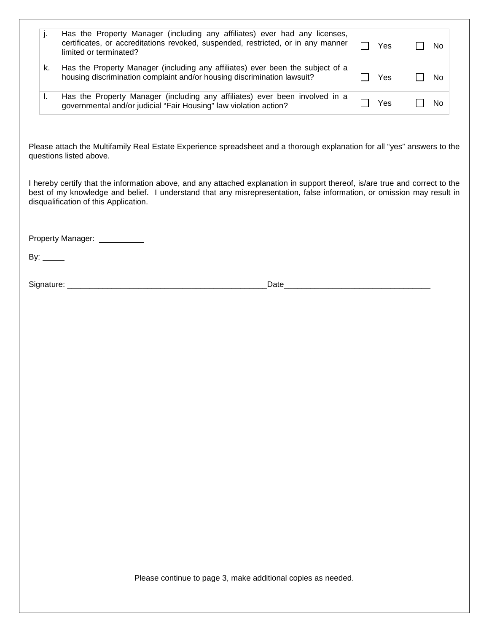| j. |                                                                                                                                                                                          |     |     |
|----|------------------------------------------------------------------------------------------------------------------------------------------------------------------------------------------|-----|-----|
|    | Has the Property Manager (including any affiliates) ever had any licenses,<br>certificates, or accreditations revoked, suspended, restricted, or in any manner<br>limited or terminated? | Yes | No. |
| k. | Has the Property Manager (including any affiliates) ever been the subject of a<br>housing discrimination complaint and/or housing discrimination lawsuit?                                | Yes | No  |
| Ъ. | Has the Property Manager (including any affiliates) ever been involved in a<br>governmental and/or judicial "Fair Housing" law violation action?                                         | Yes | No. |
|    |                                                                                                                                                                                          |     |     |
|    |                                                                                                                                                                                          |     |     |
|    | Please attach the Multifamily Real Estate Experience spreadsheet and a thorough explanation for all "yes" answers to the<br>questions listed above.                                      |     |     |

Property Manager: \_\_\_\_\_\_\_\_\_\_

By:  $\_\_\_\_\_\_\_\$ 

Signature: \_\_\_\_\_\_\_\_\_\_\_\_\_\_\_\_\_\_\_\_\_\_\_\_\_\_\_\_\_\_\_\_\_\_\_\_\_\_\_\_\_\_\_\_\_Date\_\_\_\_\_\_\_\_\_\_\_\_\_\_\_\_\_\_\_\_\_\_\_\_\_\_\_\_\_\_\_\_\_

Please continue to page 3, make additional copies as needed.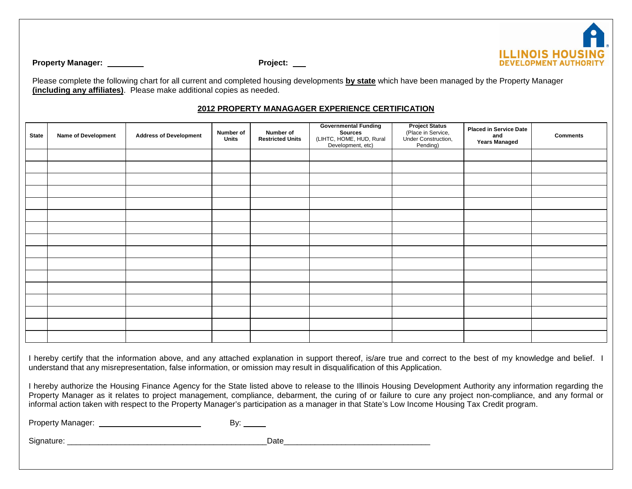

**Property Manager: Project: Project: Project: Project: Project: Project: Project: Project: Project: Project: Project: Project: Project: Project: Project: Project: Project: Project: Pro** 

Please complete the following chart for all current and completed housing developments **by state** which have been managed by the Property Manager **(including any affiliates)**. Please make additional copies as needed.

## **2012 PROPERTY MANAGAGER EXPERIENCE CERTIFICATION**

| <b>State</b> | Name of Development | <b>Address of Development</b> | Number of<br>Units | Number of<br><b>Restricted Units</b> | <b>Governmental Funding</b><br><b>Sources</b><br>(LIHTC, HOME, HUD, Rural<br>Development, etc) | <b>Project Status</b><br>(Place in Service,<br>Under Construction,<br>Pending) | <b>Placed in Service Date</b><br>and<br><b>Years Managed</b> | <b>Comments</b> |
|--------------|---------------------|-------------------------------|--------------------|--------------------------------------|------------------------------------------------------------------------------------------------|--------------------------------------------------------------------------------|--------------------------------------------------------------|-----------------|
|              |                     |                               |                    |                                      |                                                                                                |                                                                                |                                                              |                 |
|              |                     |                               |                    |                                      |                                                                                                |                                                                                |                                                              |                 |
|              |                     |                               |                    |                                      |                                                                                                |                                                                                |                                                              |                 |
|              |                     |                               |                    |                                      |                                                                                                |                                                                                |                                                              |                 |
|              |                     |                               |                    |                                      |                                                                                                |                                                                                |                                                              |                 |
|              |                     |                               |                    |                                      |                                                                                                |                                                                                |                                                              |                 |
|              |                     |                               |                    |                                      |                                                                                                |                                                                                |                                                              |                 |
|              |                     |                               |                    |                                      |                                                                                                |                                                                                |                                                              |                 |
|              |                     |                               |                    |                                      |                                                                                                |                                                                                |                                                              |                 |
|              |                     |                               |                    |                                      |                                                                                                |                                                                                |                                                              |                 |
|              |                     |                               |                    |                                      |                                                                                                |                                                                                |                                                              |                 |
|              |                     |                               |                    |                                      |                                                                                                |                                                                                |                                                              |                 |
|              |                     |                               |                    |                                      |                                                                                                |                                                                                |                                                              |                 |
|              |                     |                               |                    |                                      |                                                                                                |                                                                                |                                                              |                 |
|              |                     |                               |                    |                                      |                                                                                                |                                                                                |                                                              |                 |
|              |                     |                               |                    |                                      |                                                                                                |                                                                                |                                                              |                 |

I hereby certify that the information above, and any attached explanation in support thereof, is/are true and correct to the best of my knowledge and belief. I understand that any misrepresentation, false information, or omission may result in disqualification of this Application.

I hereby authorize the Housing Finance Agency for the State listed above to release to the Illinois Housing Development Authority any information regarding the Property Manager as it relates to project management, compliance, debarment, the curing of or failure to cure any project non-compliance, and any formal or informal action taken with respect to the Property Manager's participation as a manager in that State's Low Income Housing Tax Credit program.

Property Manager: By:

Signature: \_\_\_\_\_\_\_\_\_\_\_\_\_\_\_\_\_\_\_\_\_\_\_\_\_\_\_\_\_\_\_\_\_\_\_\_\_\_\_\_\_\_\_\_\_Date\_\_\_\_\_\_\_\_\_\_\_\_\_\_\_\_\_\_\_\_\_\_\_\_\_\_\_\_\_\_\_\_\_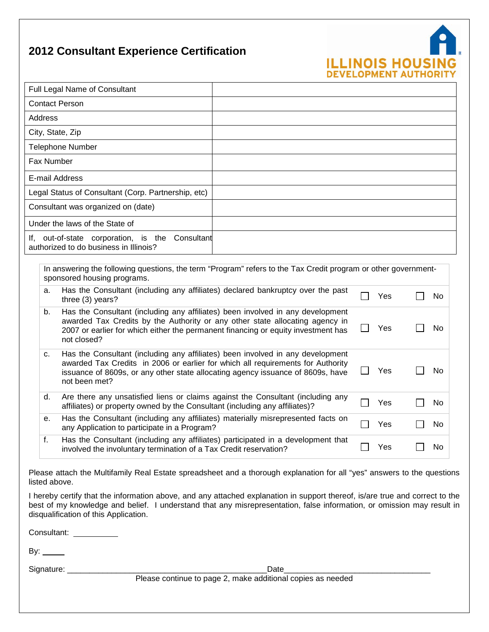# **2012 Consultant Experience Certification**



|                                                                                                                                                                                                                                                                                    | Full Legal Name of Consultant                                                                                                                                                                                                                                      |  |                |     |    |
|------------------------------------------------------------------------------------------------------------------------------------------------------------------------------------------------------------------------------------------------------------------------------------|--------------------------------------------------------------------------------------------------------------------------------------------------------------------------------------------------------------------------------------------------------------------|--|----------------|-----|----|
|                                                                                                                                                                                                                                                                                    | <b>Contact Person</b>                                                                                                                                                                                                                                              |  |                |     |    |
| <b>Address</b>                                                                                                                                                                                                                                                                     |                                                                                                                                                                                                                                                                    |  |                |     |    |
|                                                                                                                                                                                                                                                                                    | City, State, Zip                                                                                                                                                                                                                                                   |  |                |     |    |
|                                                                                                                                                                                                                                                                                    | <b>Telephone Number</b>                                                                                                                                                                                                                                            |  |                |     |    |
| <b>Fax Number</b>                                                                                                                                                                                                                                                                  |                                                                                                                                                                                                                                                                    |  |                |     |    |
|                                                                                                                                                                                                                                                                                    | E-mail Address                                                                                                                                                                                                                                                     |  |                |     |    |
|                                                                                                                                                                                                                                                                                    | Legal Status of Consultant (Corp. Partnership, etc)                                                                                                                                                                                                                |  |                |     |    |
|                                                                                                                                                                                                                                                                                    | Consultant was organized on (date)                                                                                                                                                                                                                                 |  |                |     |    |
|                                                                                                                                                                                                                                                                                    | Under the laws of the State of                                                                                                                                                                                                                                     |  |                |     |    |
|                                                                                                                                                                                                                                                                                    | If, out-of-state corporation, is the Consultant<br>authorized to do business in Illinois?                                                                                                                                                                          |  |                |     |    |
|                                                                                                                                                                                                                                                                                    | In answering the following questions, the term "Program" refers to the Tax Credit program or other government-<br>sponsored housing programs.                                                                                                                      |  |                |     |    |
| a.                                                                                                                                                                                                                                                                                 | Has the Consultant (including any affiliates) declared bankruptcy over the past<br>three (3) years?                                                                                                                                                                |  |                | Yes | No |
| b.                                                                                                                                                                                                                                                                                 | Has the Consultant (including any affiliates) been involved in any development<br>awarded Tax Credits by the Authority or any other state allocating agency in<br>2007 or earlier for which either the permanent financing or equity investment has<br>not closed? |  | $\blacksquare$ | Yes | No |
| Has the Consultant (including any affiliates) been involved in any development<br>c.<br>awarded Tax Credits in 2006 or earlier for which all requirements for Authority<br>Yes<br>issuance of 8609s, or any other state allocating agency issuance of 8609s, have<br>not been met? |                                                                                                                                                                                                                                                                    |  |                |     | No |
| d.                                                                                                                                                                                                                                                                                 | Are there any unsatisfied liens or claims against the Consultant (including any<br>affiliates) or property owned by the Consultant (including any affiliates)?                                                                                                     |  |                | Yes | No |
| е.                                                                                                                                                                                                                                                                                 | Has the Consultant (including any affiliates) materially misrepresented facts on<br>any Application to participate in a Program?                                                                                                                                   |  |                | Yes | No |
| f.                                                                                                                                                                                                                                                                                 | Has the Consultant (including any affiliates) participated in a development that                                                                                                                                                                                   |  |                |     |    |

Please attach the Multifamily Real Estate spreadsheet and a thorough explanation for all "yes" answers to the questions listed above.

I hereby certify that the information above, and any attached explanation in support thereof, is/are true and correct to the best of my knowledge and belief. I understand that any misrepresentation, false information, or omission may result in disqualification of this Application.

Consultant: \_\_\_\_\_\_\_\_\_\_

By:  $\_\_\_\_\_\_\_\$ 

Signature: \_\_\_\_\_\_\_\_\_\_\_\_\_\_\_\_\_\_\_\_\_\_\_\_\_\_\_\_\_\_\_\_\_\_\_\_\_\_\_\_\_\_\_\_\_Date\_\_\_\_\_\_\_\_\_\_\_\_\_\_\_\_\_\_\_\_\_\_\_\_\_\_\_\_\_\_\_\_\_

Please continue to page 2, make additional copies as needed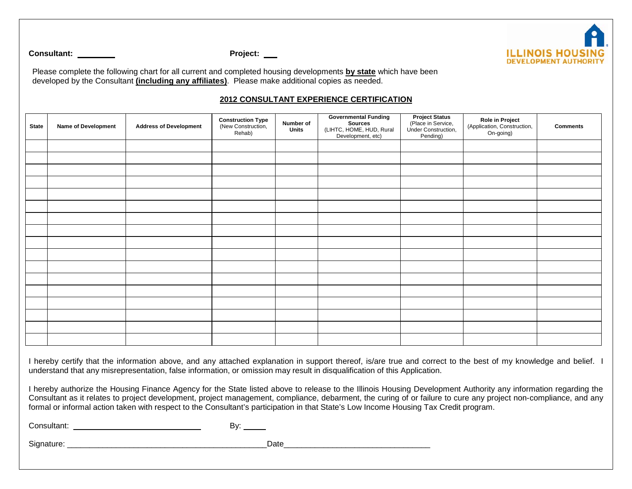

Consultant: <u>Consultant:</u> Project: <u>Project:</u>

Please complete the following chart for all current and completed housing developments **by state** which have been developed by the Consultant **(including any affiliates)**. Please make additional copies as needed.

## **2012 CONSULTANT EXPERIENCE CERTIFICATION**

| <b>State</b> | Name of Development | <b>Address of Development</b> | <b>Construction Type</b><br>(New Construction,<br>Rehab) | Number of<br>Units | <b>Governmental Funding</b><br>Sources<br>(LIHTC, HOME, HUD, Rural<br>Development, etc) | <b>Project Status</b><br>(Place in Service,<br>Under Construction,<br>Pending) | Role in Project<br>(Application, Construction,<br>On-going) | <b>Comments</b> |
|--------------|---------------------|-------------------------------|----------------------------------------------------------|--------------------|-----------------------------------------------------------------------------------------|--------------------------------------------------------------------------------|-------------------------------------------------------------|-----------------|
|              |                     |                               |                                                          |                    |                                                                                         |                                                                                |                                                             |                 |
|              |                     |                               |                                                          |                    |                                                                                         |                                                                                |                                                             |                 |
|              |                     |                               |                                                          |                    |                                                                                         |                                                                                |                                                             |                 |
|              |                     |                               |                                                          |                    |                                                                                         |                                                                                |                                                             |                 |
|              |                     |                               |                                                          |                    |                                                                                         |                                                                                |                                                             |                 |
|              |                     |                               |                                                          |                    |                                                                                         |                                                                                |                                                             |                 |
|              |                     |                               |                                                          |                    |                                                                                         |                                                                                |                                                             |                 |
|              |                     |                               |                                                          |                    |                                                                                         |                                                                                |                                                             |                 |
|              |                     |                               |                                                          |                    |                                                                                         |                                                                                |                                                             |                 |
|              |                     |                               |                                                          |                    |                                                                                         |                                                                                |                                                             |                 |
|              |                     |                               |                                                          |                    |                                                                                         |                                                                                |                                                             |                 |
|              |                     |                               |                                                          |                    |                                                                                         |                                                                                |                                                             |                 |
|              |                     |                               |                                                          |                    |                                                                                         |                                                                                |                                                             |                 |
|              |                     |                               |                                                          |                    |                                                                                         |                                                                                |                                                             |                 |
|              |                     |                               |                                                          |                    |                                                                                         |                                                                                |                                                             |                 |
|              |                     |                               |                                                          |                    |                                                                                         |                                                                                |                                                             |                 |
|              |                     |                               |                                                          |                    |                                                                                         |                                                                                |                                                             |                 |

I hereby certify that the information above, and any attached explanation in support thereof, is/are true and correct to the best of my knowledge and belief. I understand that any misrepresentation, false information, or omission may result in disqualification of this Application.

I hereby authorize the Housing Finance Agency for the State listed above to release to the Illinois Housing Development Authority any information regarding the Consultant as it relates to project development, project management, compliance, debarment, the curing of or failure to cure any project non-compliance, and any formal or informal action taken with respect to the Consultant's participation in that State's Low Income Housing Tax Credit program.

Consultant: By:

Signature: \_\_\_\_\_\_\_\_\_\_\_\_\_\_\_\_\_\_\_\_\_\_\_\_\_\_\_\_\_\_\_\_\_\_\_\_\_\_\_\_\_\_\_\_\_Date\_\_\_\_\_\_\_\_\_\_\_\_\_\_\_\_\_\_\_\_\_\_\_\_\_\_\_\_\_\_\_\_\_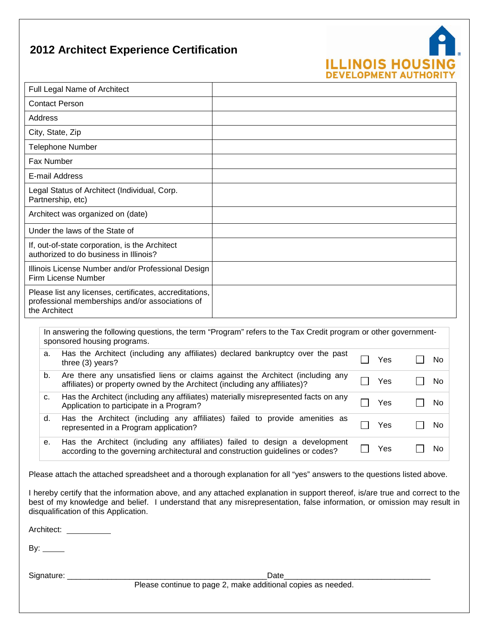# **2012 Architect Experience Certification**



| Full Legal Name of Architect                                                                                                                                        |  |        |     |  |    |
|---------------------------------------------------------------------------------------------------------------------------------------------------------------------|--|--------|-----|--|----|
| <b>Contact Person</b>                                                                                                                                               |  |        |     |  |    |
| Address                                                                                                                                                             |  |        |     |  |    |
| City, State, Zip                                                                                                                                                    |  |        |     |  |    |
| <b>Telephone Number</b>                                                                                                                                             |  |        |     |  |    |
| Fax Number                                                                                                                                                          |  |        |     |  |    |
| E-mail Address                                                                                                                                                      |  |        |     |  |    |
| Legal Status of Architect (Individual, Corp.<br>Partnership, etc)                                                                                                   |  |        |     |  |    |
| Architect was organized on (date)                                                                                                                                   |  |        |     |  |    |
| Under the laws of the State of                                                                                                                                      |  |        |     |  |    |
| If, out-of-state corporation, is the Architect<br>authorized to do business in Illinois?                                                                            |  |        |     |  |    |
| Illinois License Number and/or Professional Design<br>Firm License Number                                                                                           |  |        |     |  |    |
| Please list any licenses, certificates, accreditations,<br>professional memberships and/or associations of<br>the Architect                                         |  |        |     |  |    |
| In answering the following questions, the term "Program" refers to the Tax Credit program or other government-<br>sponsored housing programs.                       |  |        |     |  |    |
| Has the Architect (including any affiliates) declared bankruptcy over the past<br>a.<br>three (3) years?                                                            |  |        | Yes |  | No |
| Are there any unsatisfied liens or claims against the Architect (including any<br>b.<br>affiliates) or property owned by the Architect (including any affiliates)?  |  |        | Yes |  | No |
| Has the Architect (including any affiliates) materially misrepresented facts on any<br>C.<br>Application to participate in a Program?                               |  |        | Yes |  | No |
| Has the Architect (including any affiliates) failed to provide amenities as<br>d.<br>Yes<br>No<br>represented in a Program application?                             |  |        |     |  |    |
| Has the Architect (including any affiliates) failed to design a development<br>е.<br>according to the governing architectural and construction guidelines or codes? |  | $\sim$ | Yes |  | No |
| Please attach the attached spreadsheet and a thorough explanation for all "yes" answers to the questions listed above.                                              |  |        |     |  |    |

I hereby certify that the information above, and any attached explanation in support thereof, is/are true and correct to the best of my knowledge and belief. I understand that any misrepresentation, false information, or omission may result in disqualification of this Application.

Architect: \_\_\_\_\_\_\_\_\_\_\_

By:  $\_\_\_\_\_\_\_\$ 

Signature: \_\_\_\_\_\_\_\_\_\_\_\_\_\_\_\_\_\_\_\_\_\_\_\_\_\_\_\_\_\_\_\_\_\_\_\_\_\_\_\_\_\_\_\_\_Date\_\_\_\_\_\_\_\_\_\_\_\_\_\_\_\_\_\_\_\_\_\_\_\_\_\_\_\_\_\_\_\_\_

Please continue to page 2, make additional copies as needed.